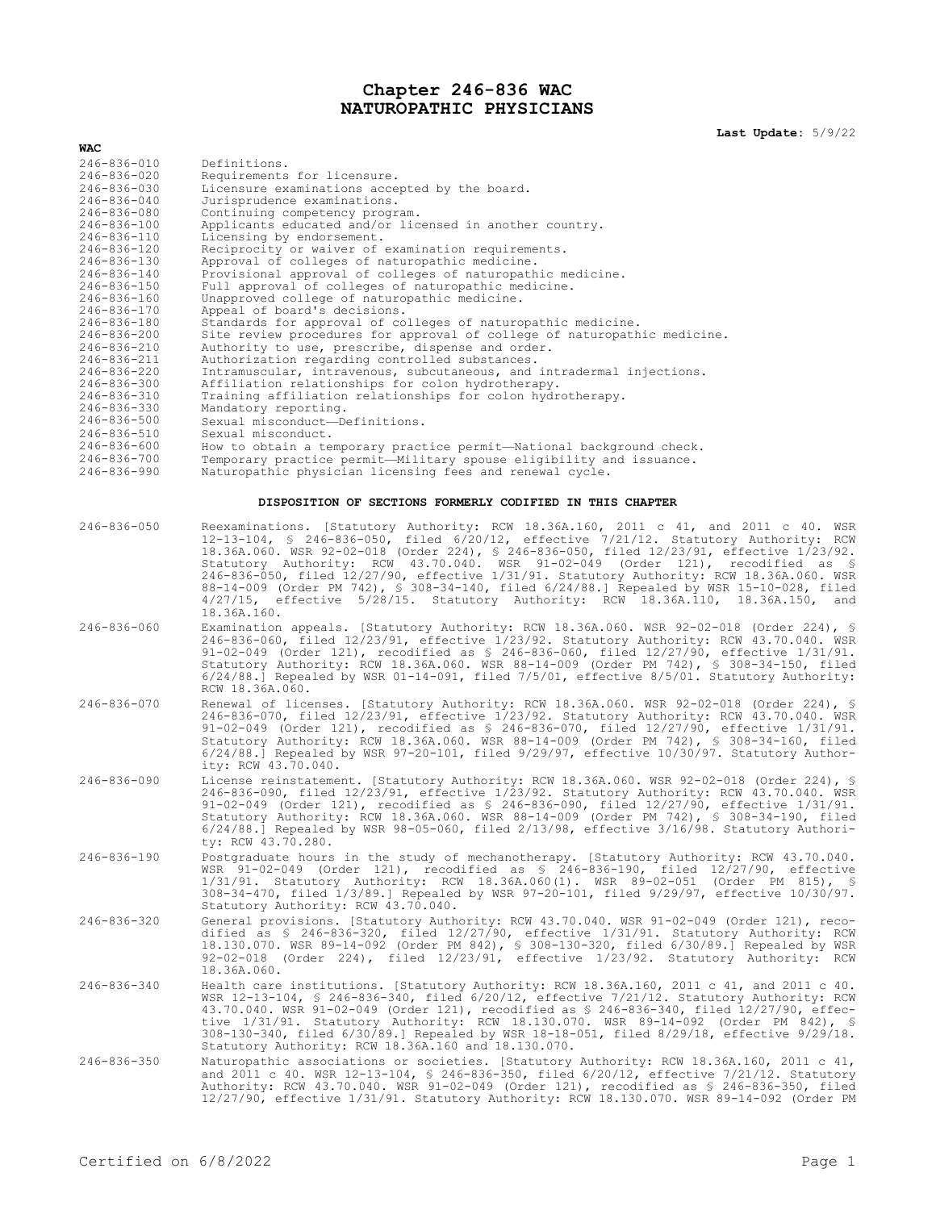## **Chapter 246-836 WAC NATUROPATHIC PHYSICIANS**

**Last Update:** 5/9/22

| WAC.              |                                                                          |
|-------------------|--------------------------------------------------------------------------|
| $246 - 836 - 010$ | Definitions.                                                             |
| $246 - 836 - 020$ | Requirements for licensure.                                              |
| $246 - 836 - 030$ | Licensure examinations accepted by the board.                            |
| $246 - 836 - 040$ | Jurisprudence examinations.                                              |
| $246 - 836 - 080$ | Continuing competency program.                                           |
| $246 - 836 - 100$ | Applicants educated and/or licensed in another country.                  |
| $246 - 836 - 110$ | Licensing by endorsement.                                                |
| $246 - 836 - 120$ | Reciprocity or waiver of examination requirements.                       |
| $246 - 836 - 130$ | Approval of colleges of naturopathic medicine.                           |
| $246 - 836 - 140$ | Provisional approval of colleges of naturopathic medicine.               |
| $246 - 836 - 150$ | Full approval of colleges of naturopathic medicine.                      |
| 246-836-160       | Unapproved college of naturopathic medicine.                             |
| $246 - 836 - 170$ | Appeal of board's decisions.                                             |
| $246 - 836 - 180$ | Standards for approval of colleges of naturopathic medicine.             |
| $246 - 836 - 200$ | Site review procedures for approval of college of naturopathic medicine. |
| $246 - 836 - 210$ | Authority to use, prescribe, dispense and order.                         |
| $246 - 836 - 211$ | Authorization regarding controlled substances.                           |
| 246-836-220       | Intramuscular, intravenous, subcutaneous, and intradermal injections.    |
| 246-836-300       | Affiliation relationships for colon hydrotherapy.                        |
| 246-836-310       | Training affiliation relationships for colon hydrotherapy.               |
| 246-836-330       | Mandatory reporting.                                                     |
| 246-836-500       | Sexual misconduct-Definitions.                                           |
| $246 - 836 - 510$ | Sexual misconduct.                                                       |
| 246-836-600       | How to obtain a temporary practice permit—National background check.     |
| $246 - 836 - 700$ | Temporary practice permit-Military spouse eligibility and issuance.      |
| $246 - 836 - 990$ | Naturopathic physician licensing fees and renewal cycle.                 |
|                   | DISPOSITION OF SECTIONS FORMERLY CODIFIED IN THIS CHAPTER                |

| 246-836-050       | Reexaminations. [Statutory Authority: RCW 18.36A.160, 2011 c 41, and 2011 c 40. WSR<br>12-13-104, § 246-836-050, filed 6/20/12, effective 7/21/12. Statutory Authority: RCW<br>18.36A.060. WSR 92-02-018 (Order 224), § 246-836-050, filed 12/23/91, effective 1/23/92.<br>Statutory Authority: RCW 43.70.040. WSR 91-02-049 (Order 121), recodified as \$<br>246-836-050, filed 12/27/90, effective 1/31/91. Statutory Authority: RCW 18.36A.060. WSR<br>88-14-009 (Order PM 742), § 308-34-140, filed 6/24/88.] Repealed by WSR 15-10-028, filed<br>4/27/15, effective 5/28/15. Statutory Authority: RCW 18.36A.110, 18.36A.150,<br>and<br>18.36A.160. |
|-------------------|----------------------------------------------------------------------------------------------------------------------------------------------------------------------------------------------------------------------------------------------------------------------------------------------------------------------------------------------------------------------------------------------------------------------------------------------------------------------------------------------------------------------------------------------------------------------------------------------------------------------------------------------------------|
| $246 - 836 - 060$ | Examination appeals. [Statutory Authority: RCW 18.36A.060. WSR 92-02-018 (Order 224), §<br>246-836-060, filed 12/23/91, effective 1/23/92. Statutory Authority: RCW 43.70.040. WSR<br>91-02-049 (Order 121), recodified as $$246-836-060$ , filed $12/27/90$ , effective $1/31/91$ .<br>Statutory Authority: RCW 18.36A.060. WSR 88-14-009 (Order PM 742), § 308-34-150, filed<br>$6/24/88.$ Repealed by WSR 01-14-091, filed $7/5/01$ , effective $8/5/01$ . Statutory Authority:<br>RCW 18.36A.060.                                                                                                                                                    |
| $246 - 836 - 070$ | Renewal of licenses. [Statutory Authority: RCW 18.36A.060. WSR 92-02-018 (Order 224), §<br>246-836-070, filed 12/23/91, effective 1/23/92. Statutory Authority: RCW 43.70.040. WSR<br>91-02-049 (Order 121), recodified as § 246-836-070, filed 12/27/90, effective 1/31/91.<br>Statutory Authority: RCW 18.36A.060. WSR 88-14-009 (Order PM 742), § 308-34-160, filed<br>$6/24/88$ . Repealed by WSR 97-20-101, filed 9/29/97, effective 10/30/97. Statutory Author-<br>ity: RCW 43.70.040.                                                                                                                                                             |
| $246 - 836 - 090$ | License reinstatement. [Statutory Authority: RCW 18.36A.060. WSR 92-02-018 (Order 224), §<br>246-836-090, filed 12/23/91, effective 1/23/92. Statutory Authority: RCW 43.70.040. WSR<br>91-02-049 (Order 121), recodified as $$246-836-090$ , filed $12/27/90$ , effective $1/31/91$ .<br>Statutory Authority: RCW 18.36A.060. WSR 88-14-009 (Order PM 742), § 308-34-190, filed<br>$6/24/88.$ Repealed by WSR 98-05-060, filed $2/13/98$ , effective $3/16/98$ . Statutory Authori-<br>ty: RCW 43.70.280.                                                                                                                                               |
| 246-836-190       | Postgraduate hours in the study of mechanotherapy. [Statutory Authority: RCW 43.70.040.<br>WSR 91-02-049 (Order 121), recodified as \$ 246-836-190, filed 12/27/90, effective<br>1/31/91. Statutory Authority: RCW 18.36A.060(1). WSR 89-02-051 (Order PM 815), §<br>308-34-470, filed 1/3/89.] Repealed by WSR 97-20-101, filed 9/29/97, effective 10/30/97.<br>Statutory Authority: RCW 43.70.040.                                                                                                                                                                                                                                                     |
| 246-836-320       | General provisions. [Statutory Authority: RCW 43.70.040. WSR 91-02-049 (Order 121), reco-<br>dified as § 246-836-320, filed 12/27/90, effective 1/31/91. Statutory Authority: RCW<br>18.130.070. WSR 89-14-092 (Order PM 842), § 308-130-320, filed 6/30/89.] Repealed by WSR<br>92-02-018 (Order 224), filed 12/23/91, effective 1/23/92. Statutory Authority: RCW<br>18.36A.060.                                                                                                                                                                                                                                                                       |
| 246-836-340       | Health care institutions. [Statutory Authority: RCW 18.36A.160, 2011 c 41, and 2011 c 40.<br>WSR 12-13-104, § 246-836-340, filed 6/20/12, effective 7/21/12. Statutory Authority: RCW<br>43.70.040. WSR 91-02-049 (Order 121), recodified as \$ 246-836-340, filed 12/27/90, effec-<br>tive 1/31/91. Statutory Authority: RCW 18.130.070. WSR 89-14-092 (Order PM 842), \$<br>308-130-340, filed 6/30/89.] Repealed by WSR 18-18-051, filed 8/29/18, effective 9/29/18.<br>Statutory Authority: RCW 18.36A.160 and 18.130.070.                                                                                                                           |
| 246-836-350       | Naturopathic associations or societies. [Statutory Authority: RCW 18.36A.160, 2011 c 41,<br>and 2011 c 40. WSR 12-13-104, § 246-836-350, filed 6/20/12, effective 7/21/12. Statutory<br>Authority: RCW 43.70.040. WSR 91-02-049 (Order 121), recodified as \$ 246-836-350, filed<br>12/27/90, effective 1/31/91. Statutory Authority: RCW 18.130.070. WSR 89-14-092 (Order PM                                                                                                                                                                                                                                                                            |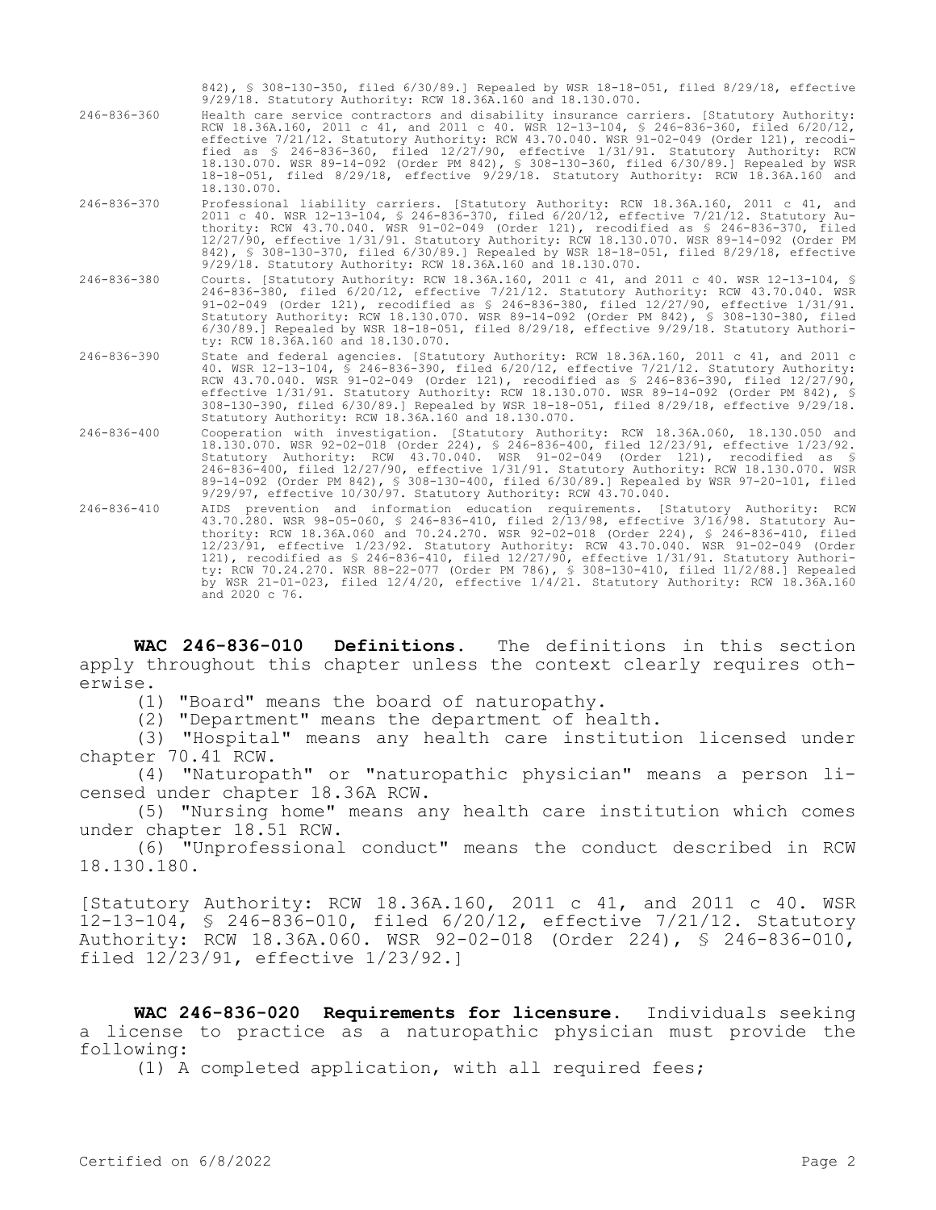|                   | 842), § 308-130-350, filed 6/30/89.1 Repealed by WSR 18-18-051, filed 8/29/18, effective<br>9/29/18. Statutory Authority: RCW 18.36A.160 and 18.130.070.                                                                                                                                                                                                                                                                                                                                                                                                                                                                                                                      |
|-------------------|-------------------------------------------------------------------------------------------------------------------------------------------------------------------------------------------------------------------------------------------------------------------------------------------------------------------------------------------------------------------------------------------------------------------------------------------------------------------------------------------------------------------------------------------------------------------------------------------------------------------------------------------------------------------------------|
| $246 - 836 - 360$ | Health care service contractors and disability insurance carriers. [Statutory Authority:<br>RCW 18.36A.160, 2011 c 41, and 2011 c 40. WSR 12-13-104, § 246-836-360, filed 6/20/12,<br>effective 7/21/12. Statutory Authority: RCW 43.70.040. WSR 91-02-049 (Order 121), recodi-<br>fied as \$ 246-836-360, filed 12/27/90, effective 1/31/91. Statutory Authority: RCW<br>18.130.070. WSR 89-14-092 (Order PM 842), § 308-130-360, filed 6/30/89.] Repealed by WSR<br>18-18-051, filed 8/29/18, effective 9/29/18. Statutory Authority: RCW 18.36A.160 and<br>18.130.070.                                                                                                     |
| 246-836-370       | Professional liability carriers. [Statutory Authority: RCW 18.36A.160, 2011 c 41, and<br>2011 c 40. WSR 12-13-104, § 246-836-370, filed 6/20/12, effective 7/21/12. Statutory Au-<br>thority: RCW 43.70.040. WSR 91-02-049 (Order 121), recodified as \$ 246-836-370, filed<br>12/27/90, effective 1/31/91. Statutory Authority: RCW 18.130.070. WSR 89-14-092 (Order PM<br>842), § 308-130-370, filed 6/30/89.] Repealed by WSR 18-18-051, filed 8/29/18, effective<br>9/29/18. Statutory Authority: RCW 18.36A.160 and 18.130.070.                                                                                                                                          |
| 246-836-380       | Courts. [Statutory Authority: RCW 18.36A.160, 2011 c 41, and 2011 c 40. WSR 12-13-104, §<br>246-836-380, filed 6/20/12, effective 7/21/12. Statutory Authority: RCW 43.70.040. WSR<br>91-02-049 (Order 121), recodified as \$ 246-836-380, filed 12/27/90, effective 1/31/91.<br>Statutory Authority: RCW 18.130.070. WSR 89-14-092 (Order PM 842), § 308-130-380, filed<br>6/30/89.] Repealed by WSR 18-18-051, filed 8/29/18, effective 9/29/18. Statutory Authori-<br>ty: RCW 18.36A.160 and 18.130.070.                                                                                                                                                                   |
| $246 - 836 - 390$ | State and federal agencies. [Statutory Authority: RCW 18.36A.160, 2011 c 41, and 2011 c<br>40. WSR 12-13-104, § 246-836-390, filed 6/20/12, effective 7/21/12. Statutory Authority:<br>RCW 43.70.040. WSR 91-02-049 (Order 121), recodified as \$ 246-836-390, filed 12/27/90,<br>effective 1/31/91. Statutory Authority: RCW 18.130.070. WSR 89-14-092 (Order PM 842), §<br>308-130-390, filed 6/30/89.] Repealed by WSR 18-18-051, filed 8/29/18, effective 9/29/18.<br>Statutory Authority: RCW 18.36A.160 and 18.130.070.                                                                                                                                                 |
| $246 - 836 - 400$ | Cooperation with investigation. [Statutory Authority: RCW 18.36A.060, 18.130.050 and<br>18.130.070. WSR 92-02-018 (Order 224), § 246-836-400, filed 12/23/91, effective 1/23/92.<br>Statutory Authority: RCW 43.70.040. WSR 91-02-049 (Order 121), recodified as §<br>246-836-400, filed 12/27/90, effective 1/31/91. Statutory Authority: RCW 18.130.070. WSR<br>89-14-092 (Order PM 842), § 308-130-400, filed 6/30/89.] Repealed by WSR 97-20-101, filed<br>9/29/97, effective 10/30/97. Statutory Authority: RCW 43.70.040.                                                                                                                                               |
| 246-836-410       | AIDS prevention and information education requirements. [Statutory Authority: RCW<br>43.70.280. WSR 98-05-060, § 246-836-410, filed 2/13/98, effective 3/16/98. Statutory Au-<br>thority: RCW 18.36A.060 and 70.24.270. WSR 92-02-018 (Order 224), § 246-836-410, filed<br>12/23/91, effective 1/23/92. Statutory Authority: RCW 43.70.040. WSR 91-02-049 (Order<br>121), recodified as § 246-836-410, filed 12/27/90, effective 1/31/91. Statutory Authori-<br>ty: RCW 70.24.270. WSR 88-22-077 (Order PM 786), § 308-130-410, filed 11/2/88.] Repealed<br>by WSR $21-01-023$ , filed $12/4/20$ , effective $1/4/21$ . Statutory Authority: RCW 18.36A.160<br>and 2020 c 76. |

**WAC 246-836-010 Definitions.** The definitions in this section apply throughout this chapter unless the context clearly requires otherwise.

(1) "Board" means the board of naturopathy.

(2) "Department" means the department of health.

(3) "Hospital" means any health care institution licensed under chapter 70.41 RCW.

(4) "Naturopath" or "naturopathic physician" means a person licensed under chapter 18.36A RCW.

(5) "Nursing home" means any health care institution which comes under chapter 18.51 RCW.

(6) "Unprofessional conduct" means the conduct described in RCW 18.130.180.

[Statutory Authority: RCW 18.36A.160, 2011 c 41, and 2011 c 40. WSR 12-13-104, § 246-836-010, filed 6/20/12, effective 7/21/12. Statutory Authority: RCW 18.36A.060. WSR 92-02-018 (Order 224), § 246-836-010, filed 12/23/91, effective 1/23/92.]

**WAC 246-836-020 Requirements for licensure.** Individuals seeking a license to practice as a naturopathic physician must provide the following:

(1) A completed application, with all required fees;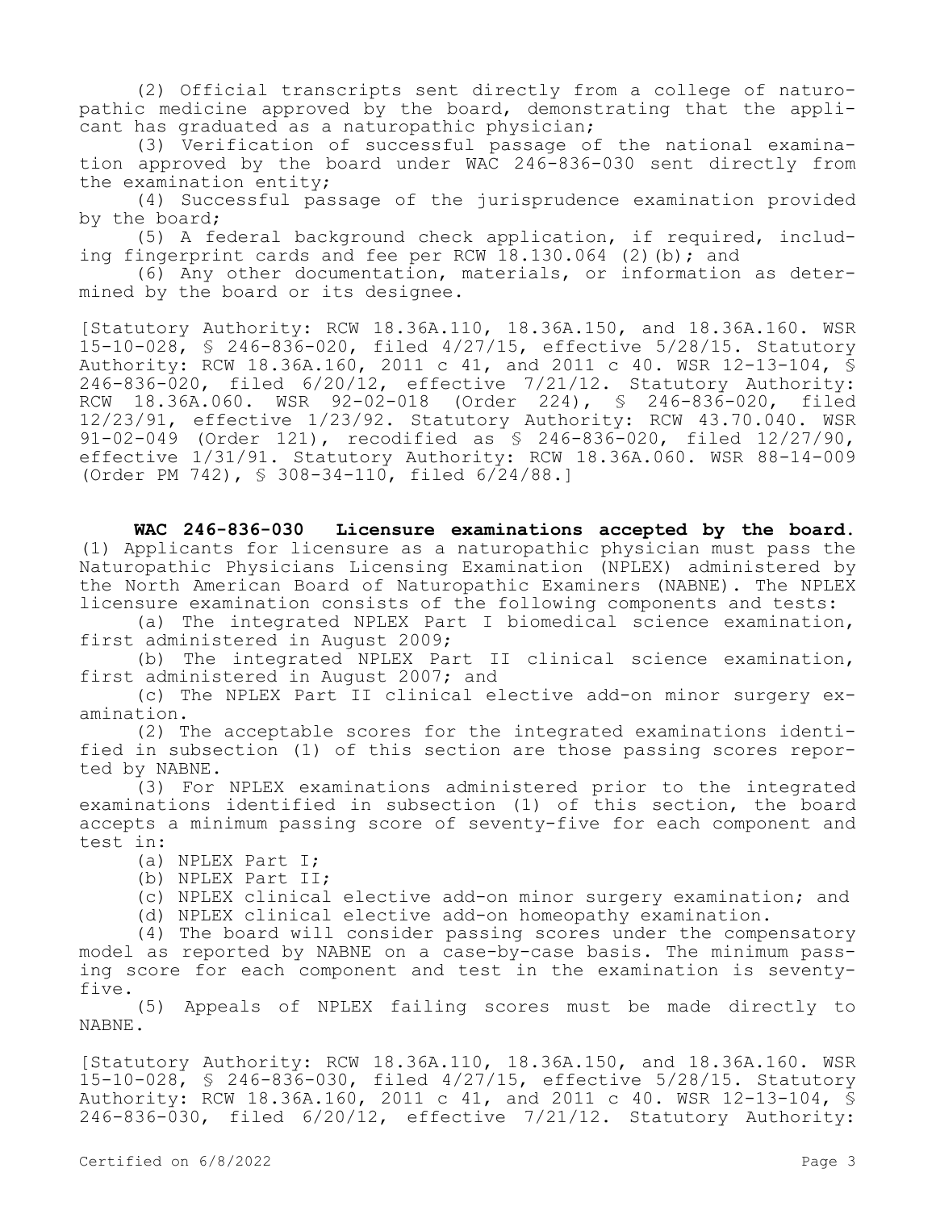(2) Official transcripts sent directly from a college of naturopathic medicine approved by the board, demonstrating that the applicant has graduated as a naturopathic physician;

(3) Verification of successful passage of the national examination approved by the board under WAC 246-836-030 sent directly from the examination entity;

(4) Successful passage of the jurisprudence examination provided by the board;

(5) A federal background check application, if required, including fingerprint cards and fee per RCW  $18.130.064$  (2)(b); and

(6) Any other documentation, materials, or information as determined by the board or its designee.

[Statutory Authority: RCW 18.36A.110, 18.36A.150, and 18.36A.160. WSR 15-10-028, § 246-836-020, filed 4/27/15, effective 5/28/15. Statutory Authority: RCW 18.36A.160, 2011 c 41, and 2011 c 40. WSR 12-13-104, § 246-836-020, filed 6/20/12, effective 7/21/12. Statutory Authority: RCW 18.36A.060. WSR 92-02-018 (Order 224), § 246-836-020, filed 12/23/91, effective 1/23/92. Statutory Authority: RCW 43.70.040. WSR 91-02-049 (Order 121), recodified as § 246-836-020, filed 12/27/90, effective 1/31/91. Statutory Authority: RCW 18.36A.060. WSR 88-14-009 (Order PM 742), § 308-34-110, filed 6/24/88.]

**WAC 246-836-030 Licensure examinations accepted by the board.**  (1) Applicants for licensure as a naturopathic physician must pass the Naturopathic Physicians Licensing Examination (NPLEX) administered by the North American Board of Naturopathic Examiners (NABNE). The NPLEX licensure examination consists of the following components and tests:

(a) The integrated NPLEX Part I biomedical science examination, first administered in August 2009;

(b) The integrated NPLEX Part II clinical science examination, first administered in August 2007; and

(c) The NPLEX Part II clinical elective add-on minor surgery examination.

(2) The acceptable scores for the integrated examinations identified in subsection (1) of this section are those passing scores reported by NABNE.

(3) For NPLEX examinations administered prior to the integrated examinations identified in subsection (1) of this section, the board accepts a minimum passing score of seventy-five for each component and test in:

- (a) NPLEX Part I;
- (b) NPLEX Part II;
- (c) NPLEX clinical elective add-on minor surgery examination; and

(d) NPLEX clinical elective add-on homeopathy examination.

(4) The board will consider passing scores under the compensatory model as reported by NABNE on a case-by-case basis. The minimum passing score for each component and test in the examination is seventyfive.

(5) Appeals of NPLEX failing scores must be made directly to NABNE.

[Statutory Authority: RCW 18.36A.110, 18.36A.150, and 18.36A.160. WSR 15-10-028, § 246-836-030, filed 4/27/15, effective 5/28/15. Statutory Authority: RCW 18.36A.160, 2011 c 41, and 2011 c 40. WSR 12-13-104, § 246-836-030, filed 6/20/12, effective 7/21/12. Statutory Authority: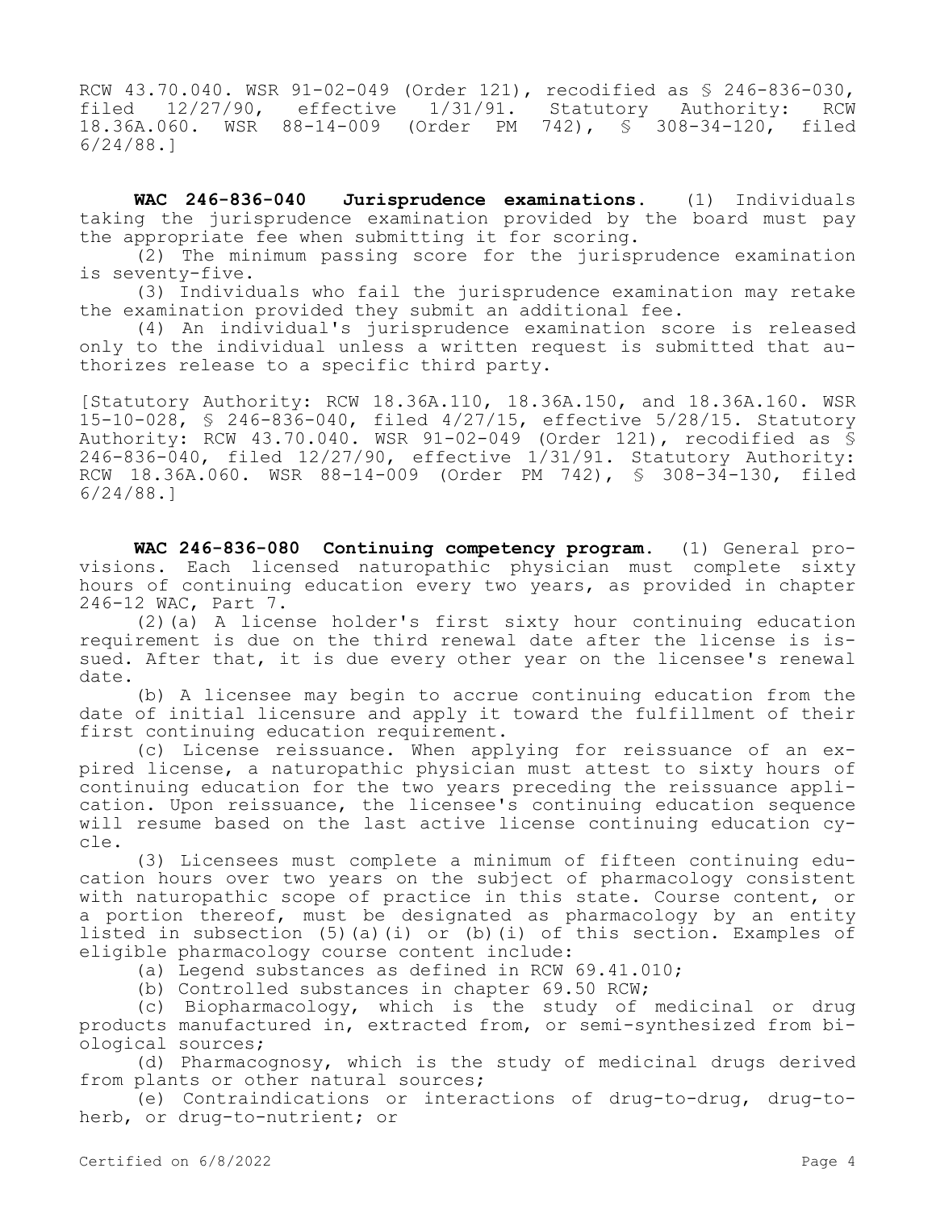RCW 43.70.040. WSR 91-02-049 (Order 121), recodified as § 246-836-030, filed 12/27/90, effective 1/31/91. Statutory Authority: RCW 18.36A.060. WSR 88-14-009 (Order PM 742), § 308-34-120, filed 6/24/88.]

**WAC 246-836-040 Jurisprudence examinations.** (1) Individuals taking the jurisprudence examination provided by the board must pay the appropriate fee when submitting it for scoring.

(2) The minimum passing score for the jurisprudence examination is seventy-five.

(3) Individuals who fail the jurisprudence examination may retake the examination provided they submit an additional fee.

(4) An individual's jurisprudence examination score is released only to the individual unless a written request is submitted that authorizes release to a specific third party.

[Statutory Authority: RCW 18.36A.110, 18.36A.150, and 18.36A.160. WSR 15-10-028, § 246-836-040, filed 4/27/15, effective 5/28/15. Statutory Authority: RCW 43.70.040. WSR 91-02-049 (Order 121), recodified as § 246-836-040, filed 12/27/90, effective 1/31/91. Statutory Authority: RCW 18.36A.060. WSR 88-14-009 (Order PM 742), § 308-34-130, filed 6/24/88.]

**WAC 246-836-080 Continuing competency program.** (1) General provisions. Each licensed naturopathic physician must complete sixty hours of continuing education every two years, as provided in chapter 246-12 WAC, Part 7.

(2)(a) A license holder's first sixty hour continuing education requirement is due on the third renewal date after the license is issued. After that, it is due every other year on the licensee's renewal date.

(b) A licensee may begin to accrue continuing education from the date of initial licensure and apply it toward the fulfillment of their first continuing education requirement.

(c) License reissuance. When applying for reissuance of an expired license, a naturopathic physician must attest to sixty hours of continuing education for the two years preceding the reissuance application. Upon reissuance, the licensee's continuing education sequence will resume based on the last active license continuing education cycle.

(3) Licensees must complete a minimum of fifteen continuing education hours over two years on the subject of pharmacology consistent with naturopathic scope of practice in this state. Course content, or a portion thereof, must be designated as pharmacology by an entity listed in subsection (5)(a)(i) or (b)(i) of this section. Examples of eligible pharmacology course content include:

(a) Legend substances as defined in RCW 69.41.010;

(b) Controlled substances in chapter 69.50 RCW;

(c) Biopharmacology, which is the study of medicinal or drug products manufactured in, extracted from, or semi-synthesized from biological sources;

(d) Pharmacognosy, which is the study of medicinal drugs derived from plants or other natural sources;

(e) Contraindications or interactions of drug-to-drug, drug-toherb, or drug-to-nutrient; or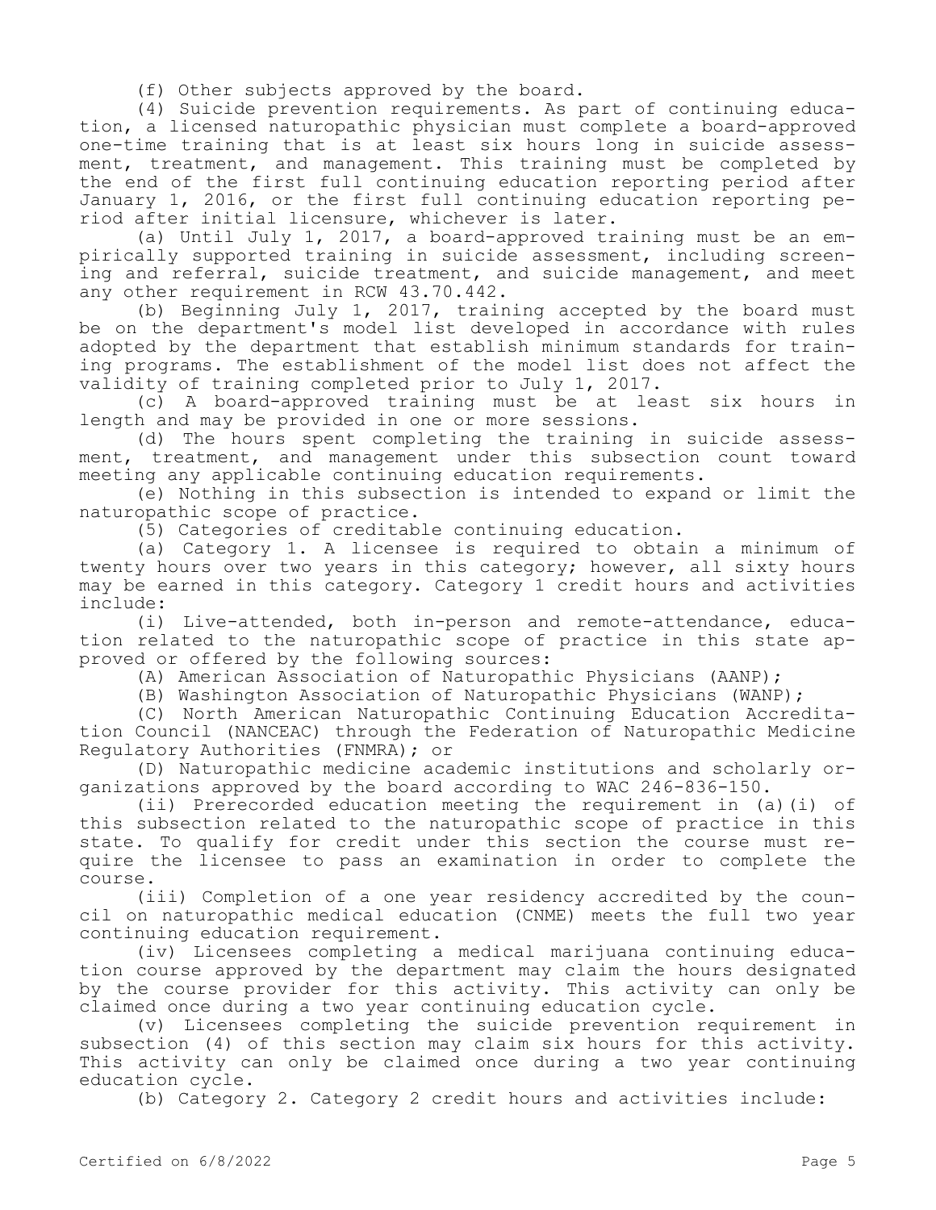(f) Other subjects approved by the board.

(4) Suicide prevention requirements. As part of continuing education, a licensed naturopathic physician must complete a board-approved one-time training that is at least six hours long in suicide assessment, treatment, and management. This training must be completed by the end of the first full continuing education reporting period after January 1, 2016, or the first full continuing education reporting period after initial licensure, whichever is later.

(a) Until July 1, 2017, a board-approved training must be an empirically supported training in suicide assessment, including screening and referral, suicide treatment, and suicide management, and meet any other requirement in RCW 43.70.442.

(b) Beginning July 1, 2017, training accepted by the board must be on the department's model list developed in accordance with rules adopted by the department that establish minimum standards for training programs. The establishment of the model list does not affect the validity of training completed prior to July 1, 2017.

(c) A board-approved training must be at least six hours in length and may be provided in one or more sessions.

(d) The hours spent completing the training in suicide assessment, treatment, and management under this subsection count toward meeting any applicable continuing education requirements.

(e) Nothing in this subsection is intended to expand or limit the naturopathic scope of practice.

(5) Categories of creditable continuing education.

(a) Category 1. A licensee is required to obtain a minimum of twenty hours over two years in this category; however, all sixty hours may be earned in this category. Category 1 credit hours and activities include:

(i) Live-attended, both in-person and remote-attendance, education related to the naturopathic scope of practice in this state approved or offered by the following sources:

(A) American Association of Naturopathic Physicians (AANP);

(B) Washington Association of Naturopathic Physicians (WANP);

(C) North American Naturopathic Continuing Education Accreditation Council (NANCEAC) through the Federation of Naturopathic Medicine Regulatory Authorities (FNMRA); or

(D) Naturopathic medicine academic institutions and scholarly organizations approved by the board according to WAC 246-836-150.

(ii) Prerecorded education meeting the requirement in (a)(i) of this subsection related to the naturopathic scope of practice in this state. To qualify for credit under this section the course must require the licensee to pass an examination in order to complete the course.

(iii) Completion of a one year residency accredited by the council on naturopathic medical education (CNME) meets the full two year continuing education requirement.

(iv) Licensees completing a medical marijuana continuing education course approved by the department may claim the hours designated by the course provider for this activity. This activity can only be claimed once during a two year continuing education cycle.

(v) Licensees completing the suicide prevention requirement in subsection (4) of this section may claim six hours for this activity. This activity can only be claimed once during a two year continuing education cycle.

(b) Category 2. Category 2 credit hours and activities include: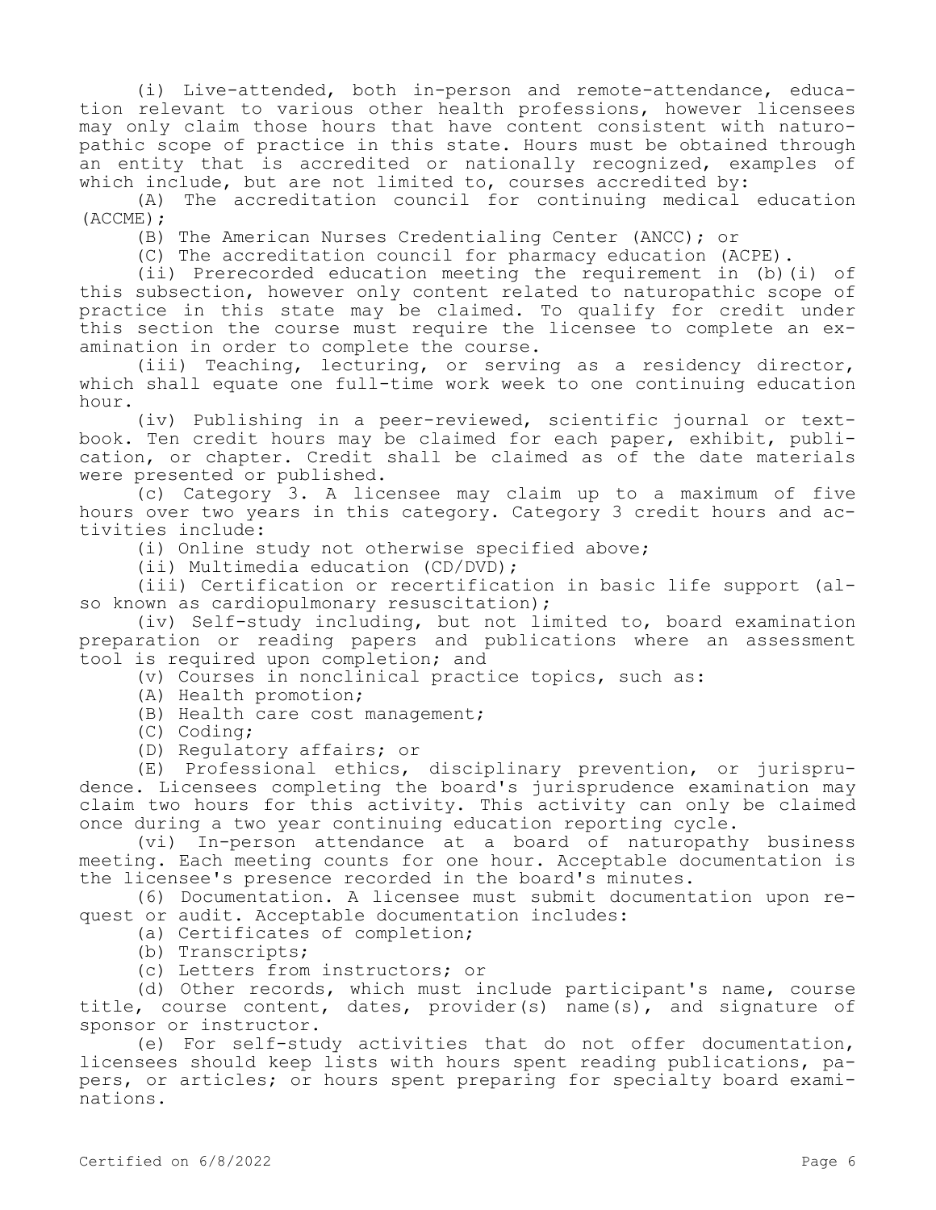(i) Live-attended, both in-person and remote-attendance, education relevant to various other health professions, however licensees may only claim those hours that have content consistent with naturopathic scope of practice in this state. Hours must be obtained through an entity that is accredited or nationally recognized, examples of which include, but are not limited to, courses accredited by:

(A) The accreditation council for continuing medical education (ACCME);

(B) The American Nurses Credentialing Center (ANCC); or

(C) The accreditation council for pharmacy education (ACPE).

(ii) Prerecorded education meeting the requirement in (b)(i) of this subsection, however only content related to naturopathic scope of practice in this state may be claimed. To qualify for credit under this section the course must require the licensee to complete an examination in order to complete the course.

(iii) Teaching, lecturing, or serving as a residency director, which shall equate one full-time work week to one continuing education hour.

(iv) Publishing in a peer-reviewed, scientific journal or textbook. Ten credit hours may be claimed for each paper, exhibit, publication, or chapter. Credit shall be claimed as of the date materials were presented or published.

(c) Category 3. A licensee may claim up to a maximum of five hours over two years in this category. Category 3 credit hours and activities include:

(i) Online study not otherwise specified above;

(ii) Multimedia education (CD/DVD);

(iii) Certification or recertification in basic life support (also known as cardiopulmonary resuscitation);

(iv) Self-study including, but not limited to, board examination preparation or reading papers and publications where an assessment tool is required upon completion; and

(v) Courses in nonclinical practice topics, such as:

- (A) Health promotion;
- (B) Health care cost management;
- (C) Coding;
- (D) Regulatory affairs; or

(E) Professional ethics, disciplinary prevention, or jurisprudence. Licensees completing the board's jurisprudence examination may claim two hours for this activity. This activity can only be claimed once during a two year continuing education reporting cycle.

(vi) In-person attendance at a board of naturopathy business meeting. Each meeting counts for one hour. Acceptable documentation is the licensee's presence recorded in the board's minutes.

(6) Documentation. A licensee must submit documentation upon request or audit. Acceptable documentation includes:

(a) Certificates of completion;

(b) Transcripts;

(c) Letters from instructors; or

(d) Other records, which must include participant's name, course title, course content, dates, provider(s) name(s), and signature of sponsor or instructor.

(e) For self-study activities that do not offer documentation, licensees should keep lists with hours spent reading publications, papers, or articles; or hours spent preparing for specialty board examinations.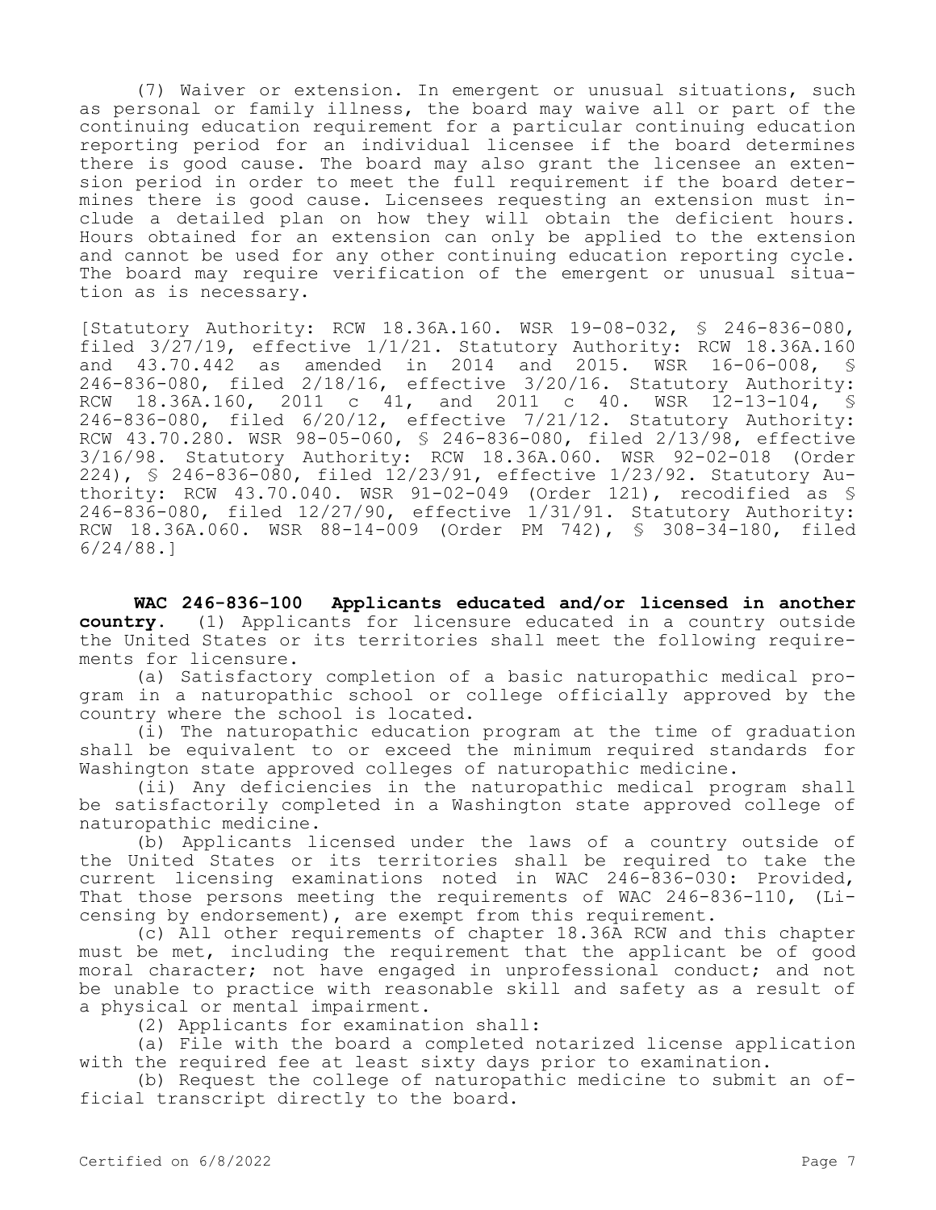(7) Waiver or extension. In emergent or unusual situations, such as personal or family illness, the board may waive all or part of the continuing education requirement for a particular continuing education reporting period for an individual licensee if the board determines there is good cause. The board may also grant the licensee an extension period in order to meet the full requirement if the board determines there is good cause. Licensees requesting an extension must include a detailed plan on how they will obtain the deficient hours. Hours obtained for an extension can only be applied to the extension and cannot be used for any other continuing education reporting cycle. The board may require verification of the emergent or unusual situation as is necessary.

[Statutory Authority: RCW 18.36A.160. WSR 19-08-032, § 246-836-080, filed 3/27/19, effective 1/1/21. Statutory Authority: RCW 18.36A.160 and 43.70.442 as amended in 2014 and 2015. WSR 16-06-008, § 246-836-080, filed 2/18/16, effective 3/20/16. Statutory Authority: RCW 18.36A.160, 2011 c 41, and 2011 c 40. WSR 12-13-104, § 246-836-080, filed 6/20/12, effective 7/21/12. Statutory Authority: RCW 43.70.280. WSR 98-05-060, § 246-836-080, filed 2/13/98, effective 3/16/98. Statutory Authority: RCW 18.36A.060. WSR 92-02-018 (Order 224), § 246-836-080, filed 12/23/91, effective 1/23/92. Statutory Authority: RCW 43.70.040. WSR 91-02-049 (Order 121), recodified as § 246-836-080, filed 12/27/90, effective 1/31/91. Statutory Authority: RCW 18.36A.060. WSR 88-14-009 (Order PM 742), § 308-34-180, filed 6/24/88.]

**WAC 246-836-100 Applicants educated and/or licensed in another country.** (1) Applicants for licensure educated in a country outside the United States or its territories shall meet the following requirements for licensure.

(a) Satisfactory completion of a basic naturopathic medical program in a naturopathic school or college officially approved by the country where the school is located.

(i) The naturopathic education program at the time of graduation shall be equivalent to or exceed the minimum required standards for Washington state approved colleges of naturopathic medicine.

(ii) Any deficiencies in the naturopathic medical program shall be satisfactorily completed in a Washington state approved college of naturopathic medicine.

(b) Applicants licensed under the laws of a country outside of the United States or its territories shall be required to take the current licensing examinations noted in WAC 246-836-030: Provided, That those persons meeting the requirements of WAC 246-836-110, (Licensing by endorsement), are exempt from this requirement.

(c) All other requirements of chapter 18.36A RCW and this chapter must be met, including the requirement that the applicant be of good moral character; not have engaged in unprofessional conduct; and not be unable to practice with reasonable skill and safety as a result of a physical or mental impairment.

(2) Applicants for examination shall:

(a) File with the board a completed notarized license application with the required fee at least sixty days prior to examination.

(b) Request the college of naturopathic medicine to submit an official transcript directly to the board.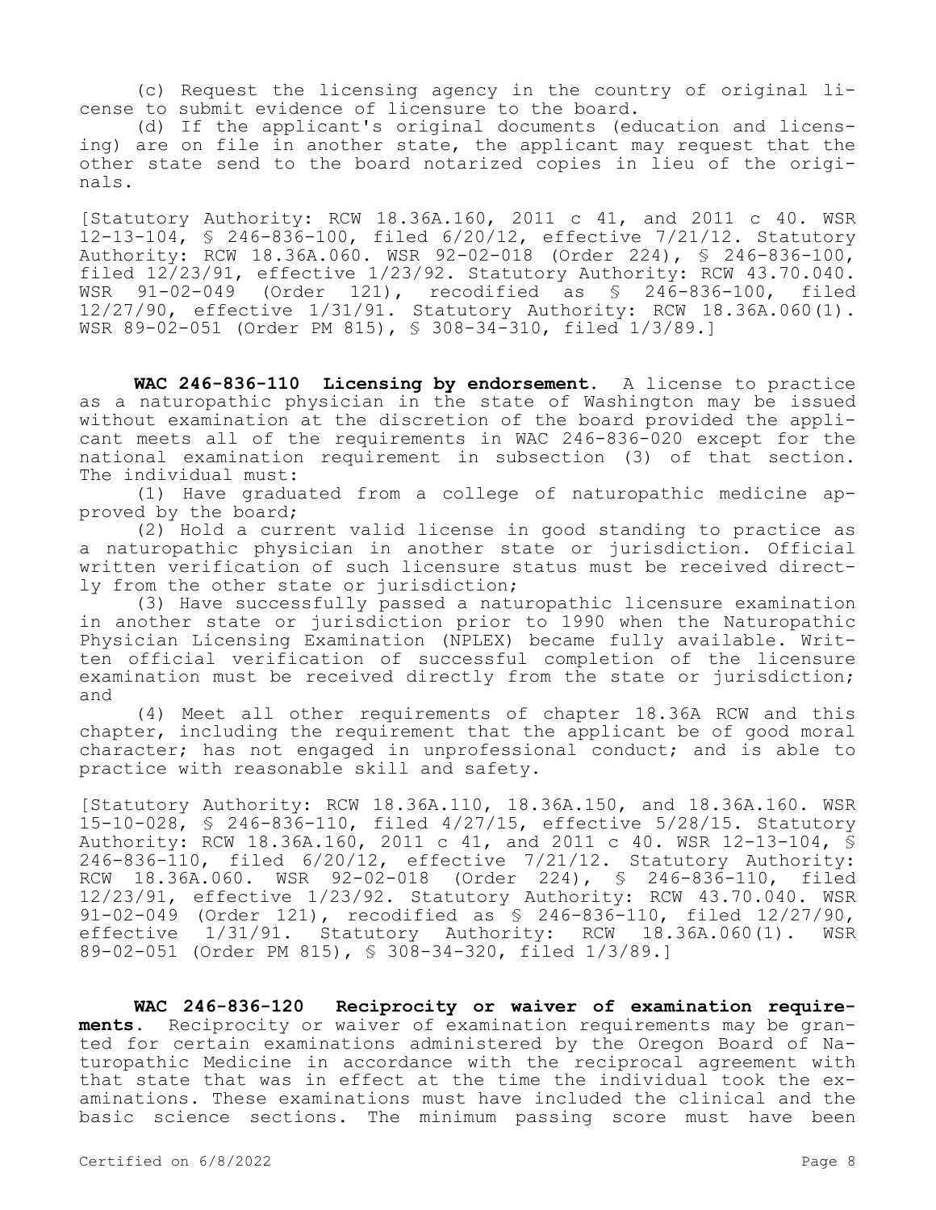(c) Request the licensing agency in the country of original license to submit evidence of licensure to the board.

(d) If the applicant's original documents (education and licensing) are on file in another state, the applicant may request that the other state send to the board notarized copies in lieu of the originals.

[Statutory Authority: RCW 18.36A.160, 2011 c 41, and 2011 c 40. WSR 12-13-104, § 246-836-100, filed 6/20/12, effective 7/21/12. Statutory Authority: RCW 18.36A.060. WSR 92-02-018 (Order 224), § 246-836-100, filed  $12/23/91$ , effective  $1/23/92$ . Statutory Authority: RCW 43.70.040.<br>WSR 91-02-049 (Order 121), recodified as § 246-836-100, filed WSR 91-02-049 (Order 121), recodified as § 246-836-100, filed 12/27/90, effective 1/31/91. Statutory Authority: RCW 18.36A.060(1). WSR 89-02-051 (Order PM 815), § 308-34-310, filed 1/3/89.]

**WAC 246-836-110 Licensing by endorsement.** A license to practice as a naturopathic physician in the state of Washington may be issued without examination at the discretion of the board provided the applicant meets all of the requirements in WAC 246-836-020 except for the national examination requirement in subsection (3) of that section. The individual must:

(1) Have graduated from a college of naturopathic medicine approved by the board;

(2) Hold a current valid license in good standing to practice as a naturopathic physician in another state or jurisdiction. Official written verification of such licensure status must be received directly from the other state or jurisdiction;

(3) Have successfully passed a naturopathic licensure examination in another state or jurisdiction prior to 1990 when the Naturopathic Physician Licensing Examination (NPLEX) became fully available. Written official verification of successful completion of the licensure examination must be received directly from the state or jurisdiction; and

(4) Meet all other requirements of chapter 18.36A RCW and this chapter, including the requirement that the applicant be of good moral character; has not engaged in unprofessional conduct; and is able to practice with reasonable skill and safety.

[Statutory Authority: RCW 18.36A.110, 18.36A.150, and 18.36A.160. WSR 15-10-028, § 246-836-110, filed 4/27/15, effective 5/28/15. Statutory Authority: RCW 18.36A.160, 2011 c 41, and 2011 c 40. WSR 12-13-104, § 246-836-110, filed 6/20/12, effective 7/21/12. Statutory Authority: RCW 18.36A.060. WSR 92-02-018 (Order 224), § 246-836-110, filed 12/23/91, effective 1/23/92. Statutory Authority: RCW 43.70.040. WSR 91-02-049 (Order 121), recodified as § 246-836-110, filed 12/27/90, effective 1/31/91. Statutory Authority: RCW 18.36A.060(1). WSR 89-02-051 (Order PM 815), § 308-34-320, filed 1/3/89.]

**WAC 246-836-120 Reciprocity or waiver of examination requirements.** Reciprocity or waiver of examination requirements may be granted for certain examinations administered by the Oregon Board of Naturopathic Medicine in accordance with the reciprocal agreement with that state that was in effect at the time the individual took the examinations. These examinations must have included the clinical and the basic science sections. The minimum passing score must have been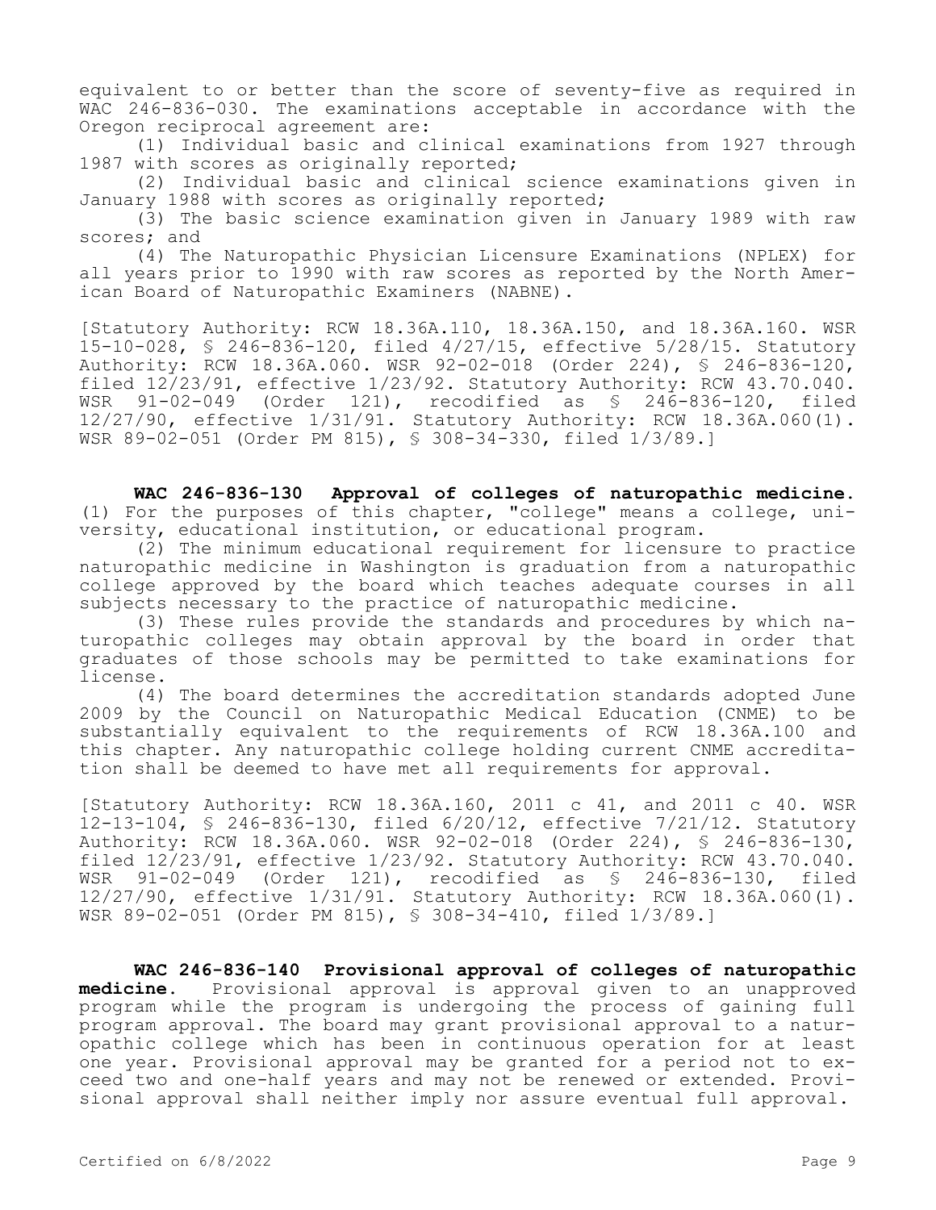equivalent to or better than the score of seventy-five as required in WAC 246-836-030. The examinations acceptable in accordance with the Oregon reciprocal agreement are:

(1) Individual basic and clinical examinations from 1927 through 1987 with scores as originally reported;

(2) Individual basic and clinical science examinations given in January 1988 with scores as originally reported;

(3) The basic science examination given in January 1989 with raw scores; and

(4) The Naturopathic Physician Licensure Examinations (NPLEX) for all years prior to 1990 with raw scores as reported by the North American Board of Naturopathic Examiners (NABNE).

[Statutory Authority: RCW 18.36A.110, 18.36A.150, and 18.36A.160. WSR 15-10-028, § 246-836-120, filed 4/27/15, effective 5/28/15. Statutory Authority: RCW 18.36A.060. WSR 92-02-018 (Order 224), § 246-836-120, filed 12/23/91, effective 1/23/92. Statutory Authority: RCW 43.70.040. WSR 91-02-049 (Order 121), recodified as § 246-836-120, filed 12/27/90, effective 1/31/91. Statutory Authority: RCW 18.36A.060(1). WSR 89-02-051 (Order PM 815), § 308-34-330, filed 1/3/89.]

**WAC 246-836-130 Approval of colleges of naturopathic medicine.**  (1) For the purposes of this chapter, "college" means a college, university, educational institution, or educational program.

(2) The minimum educational requirement for licensure to practice naturopathic medicine in Washington is graduation from a naturopathic college approved by the board which teaches adequate courses in all subjects necessary to the practice of naturopathic medicine.

(3) These rules provide the standards and procedures by which naturopathic colleges may obtain approval by the board in order that graduates of those schools may be permitted to take examinations for license.

(4) The board determines the accreditation standards adopted June 2009 by the Council on Naturopathic Medical Education (CNME) to be substantially equivalent to the requirements of RCW 18.36A.100 and this chapter. Any naturopathic college holding current CNME accreditation shall be deemed to have met all requirements for approval.

[Statutory Authority: RCW 18.36A.160, 2011 c 41, and 2011 c 40. WSR 12-13-104, § 246-836-130, filed 6/20/12, effective 7/21/12. Statutory Authority: RCW 18.36A.060. WSR 92-02-018 (Order 224), § 246-836-130, filed 12/23/91, effective 1/23/92. Statutory Authority: RCW 43.70.040. WSR 91-02-049 (Order 121), recodified as § 246-836-130, filed 12/27/90, effective 1/31/91. Statutory Authority: RCW 18.36A.060(1). WSR 89-02-051 (Order PM 815), § 308-34-410, filed 1/3/89.]

**WAC 246-836-140 Provisional approval of colleges of naturopathic medicine.** Provisional approval is approval given to an unapproved program while the program is undergoing the process of gaining full program approval. The board may grant provisional approval to a naturopathic college which has been in continuous operation for at least one year. Provisional approval may be granted for a period not to exceed two and one-half years and may not be renewed or extended. Provisional approval shall neither imply nor assure eventual full approval.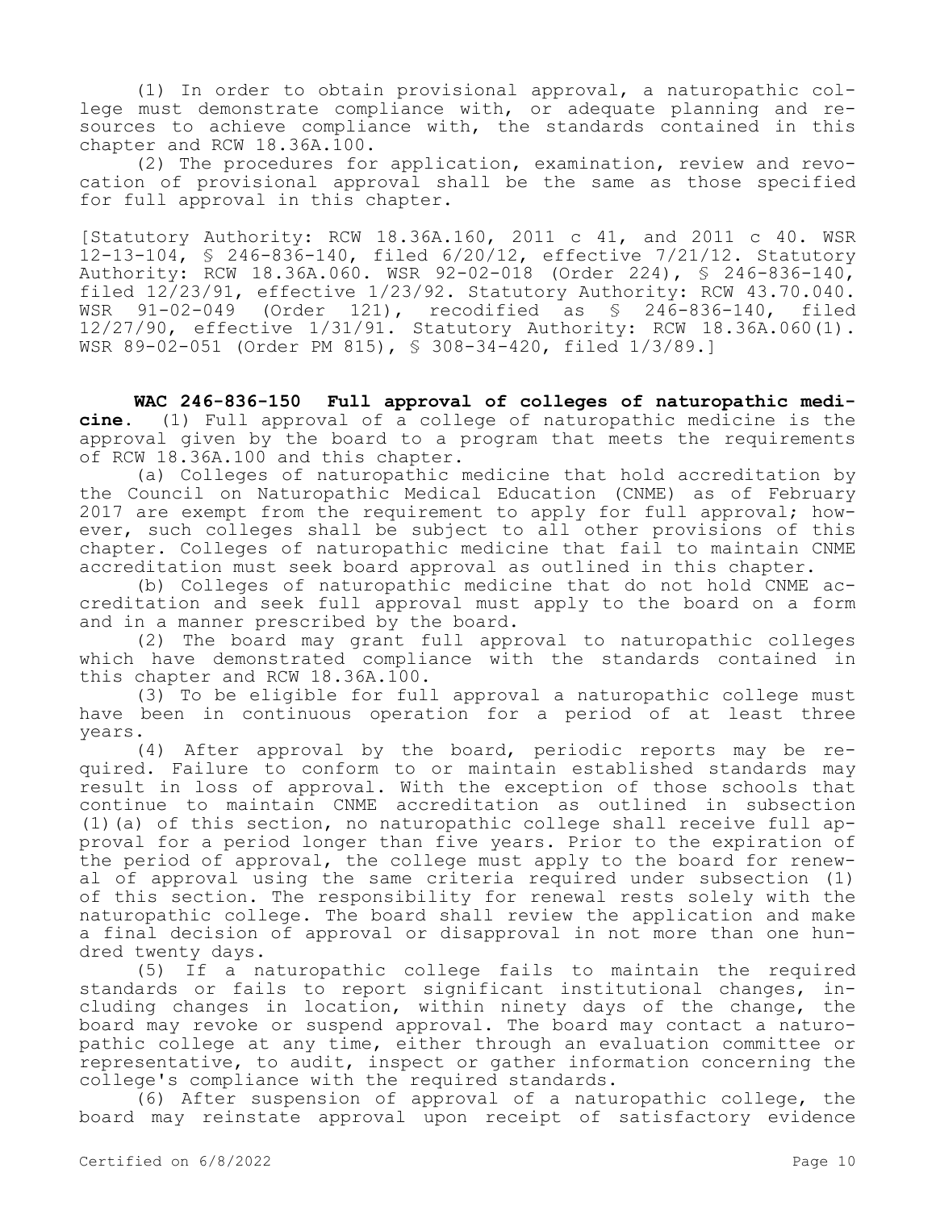(1) In order to obtain provisional approval, a naturopathic college must demonstrate compliance with, or adequate planning and resources to achieve compliance with, the standards contained in this chapter and RCW 18.36A.100.

(2) The procedures for application, examination, review and revocation of provisional approval shall be the same as those specified for full approval in this chapter.

[Statutory Authority: RCW 18.36A.160, 2011 c 41, and 2011 c 40. WSR 12-13-104, § 246-836-140, filed 6/20/12, effective 7/21/12. Statutory Authority: RCW 18.36A.060. WSR 92-02-018 (Order 224), § 246-836-140, filed 12/23/91, effective 1/23/92. Statutory Authority: RCW 43.70.040. WSR 91-02-049 (Order 121), recodified as § 246-836-140, filed 12/27/90, effective 1/31/91. Statutory Authority: RCW 18.36A.060(1). WSR 89-02-051 (Order PM 815), § 308-34-420, filed 1/3/89.]

**WAC 246-836-150 Full approval of colleges of naturopathic medicine.** (1) Full approval of a college of naturopathic medicine is the approval given by the board to a program that meets the requirements of RCW 18.36A.100 and this chapter.

(a) Colleges of naturopathic medicine that hold accreditation by the Council on Naturopathic Medical Education (CNME) as of February 2017 are exempt from the requirement to apply for full approval; however, such colleges shall be subject to all other provisions of this chapter. Colleges of naturopathic medicine that fail to maintain CNME accreditation must seek board approval as outlined in this chapter.

(b) Colleges of naturopathic medicine that do not hold CNME accreditation and seek full approval must apply to the board on a form and in a manner prescribed by the board.

(2) The board may grant full approval to naturopathic colleges which have demonstrated compliance with the standards contained in this chapter and RCW 18.36A.100.

(3) To be eligible for full approval a naturopathic college must have been in continuous operation for a period of at least three years.

(4) After approval by the board, periodic reports may be required. Failure to conform to or maintain established standards may result in loss of approval. With the exception of those schools that continue to maintain CNME accreditation as outlined in subsection (1)(a) of this section, no naturopathic college shall receive full approval for a period longer than five years. Prior to the expiration of the period of approval, the college must apply to the board for renewal of approval using the same criteria required under subsection (1) of this section. The responsibility for renewal rests solely with the naturopathic college. The board shall review the application and make a final decision of approval or disapproval in not more than one hundred twenty days.

(5) If a naturopathic college fails to maintain the required standards or fails to report significant institutional changes, including changes in location, within ninety days of the change, the board may revoke or suspend approval. The board may contact a naturopathic college at any time, either through an evaluation committee or representative, to audit, inspect or gather information concerning the college's compliance with the required standards.

(6) After suspension of approval of a naturopathic college, the board may reinstate approval upon receipt of satisfactory evidence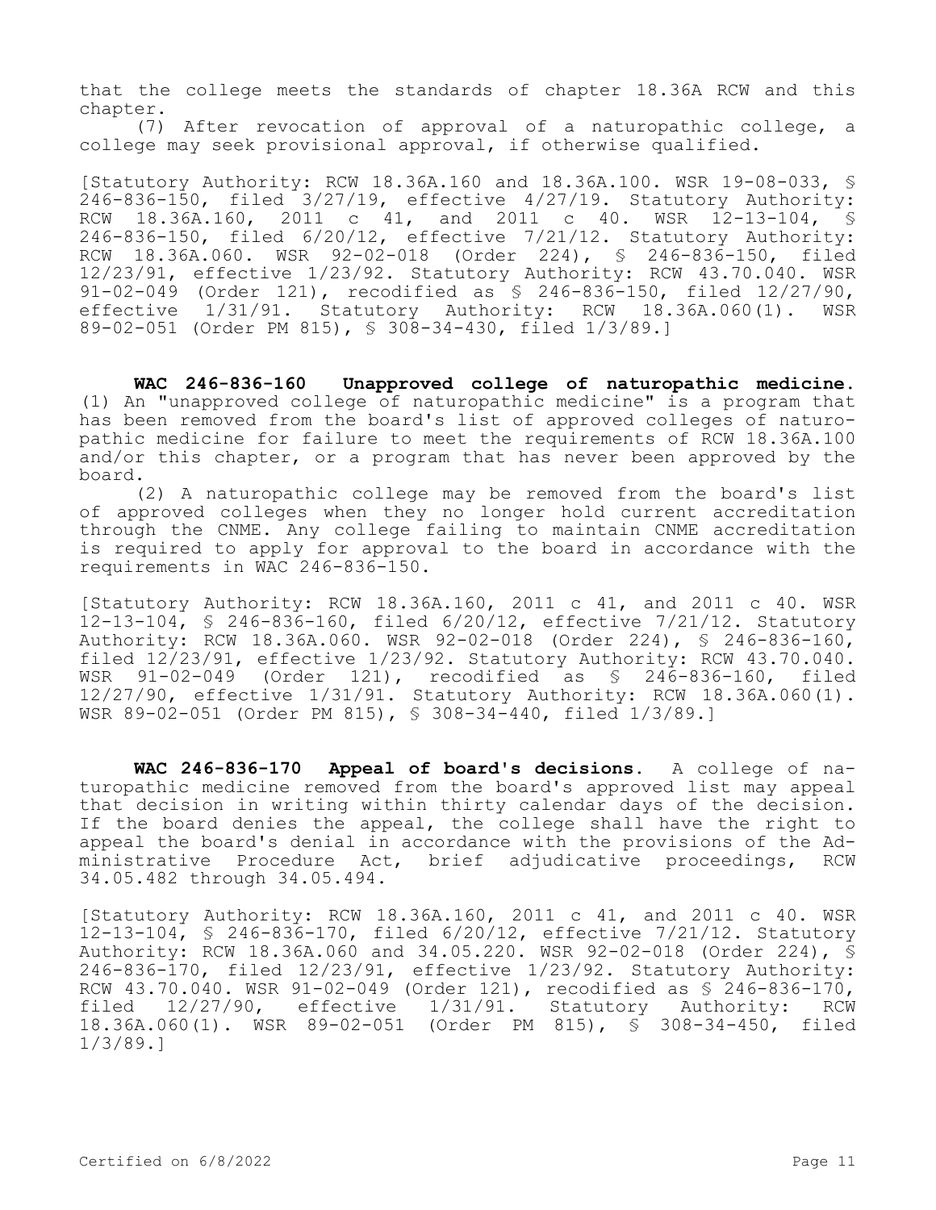that the college meets the standards of chapter 18.36A RCW and this chapter.

(7) After revocation of approval of a naturopathic college, a college may seek provisional approval, if otherwise qualified.

[Statutory Authority: RCW 18.36A.160 and 18.36A.100. WSR 19-08-033, § 246-836-150, filed 3/27/19, effective 4/27/19. Statutory Authority:<br>RCW 18.36A.160, 2011 c 41, and 2011 c 40. WSR 12-13-104, S 18.36A.160, 2011 c 41, and 2011 c 40. WSR 12-13-104, § 246-836-150, filed 6/20/12, effective 7/21/12. Statutory Authority: RCW 18.36A.060. WSR 92-02-018 (Order 224), § 246-836-150, filed 12/23/91, effective 1/23/92. Statutory Authority: RCW 43.70.040. WSR 91-02-049 (Order 121), recodified as § 246-836-150, filed 12/27/90, effective 1/31/91. Statutory Authority: RCW 18.36A.060(1). WSR 89-02-051 (Order PM 815), § 308-34-430, filed 1/3/89.]

**WAC 246-836-160 Unapproved college of naturopathic medicine.**  (1) An "unapproved college of naturopathic medicine" is a program that has been removed from the board's list of approved colleges of naturopathic medicine for failure to meet the requirements of RCW 18.36A.100 and/or this chapter, or a program that has never been approved by the board.

(2) A naturopathic college may be removed from the board's list of approved colleges when they no longer hold current accreditation through the CNME. Any college failing to maintain CNME accreditation is required to apply for approval to the board in accordance with the requirements in WAC 246-836-150.

[Statutory Authority: RCW 18.36A.160, 2011 c 41, and 2011 c 40. WSR 12-13-104, § 246-836-160, filed 6/20/12, effective 7/21/12. Statutory Authority: RCW 18.36A.060. WSR 92-02-018 (Order 224), § 246-836-160, filed 12/23/91, effective 1/23/92. Statutory Authority: RCW 43.70.040. WSR 91-02-049 (Order 121), recodified as § 246-836-160, filed 12/27/90, effective 1/31/91. Statutory Authority: RCW 18.36A.060(1). WSR 89-02-051 (Order PM 815), § 308-34-440, filed 1/3/89.]

**WAC 246-836-170 Appeal of board's decisions.** A college of naturopathic medicine removed from the board's approved list may appeal that decision in writing within thirty calendar days of the decision. If the board denies the appeal, the college shall have the right to appeal the board's denial in accordance with the provisions of the Administrative Procedure Act, brief adjudicative proceedings, RCW 34.05.482 through 34.05.494.

[Statutory Authority: RCW 18.36A.160, 2011 c 41, and 2011 c 40. WSR 12-13-104, § 246-836-170, filed 6/20/12, effective 7/21/12. Statutory Authority: RCW 18.36A.060 and 34.05.220. WSR 92-02-018 (Order 224), § 246-836-170, filed 12/23/91, effective 1/23/92. Statutory Authority: RCW 43.70.040. WSR 91-02-049 (Order 121), recodified as § 246-836-170, filed 12/27/90, effective 1/31/91. Statutory Authority: RCW 18.36A.060(1). WSR 89-02-051 (Order PM 815), § 308-34-450, filed 1/3/89.]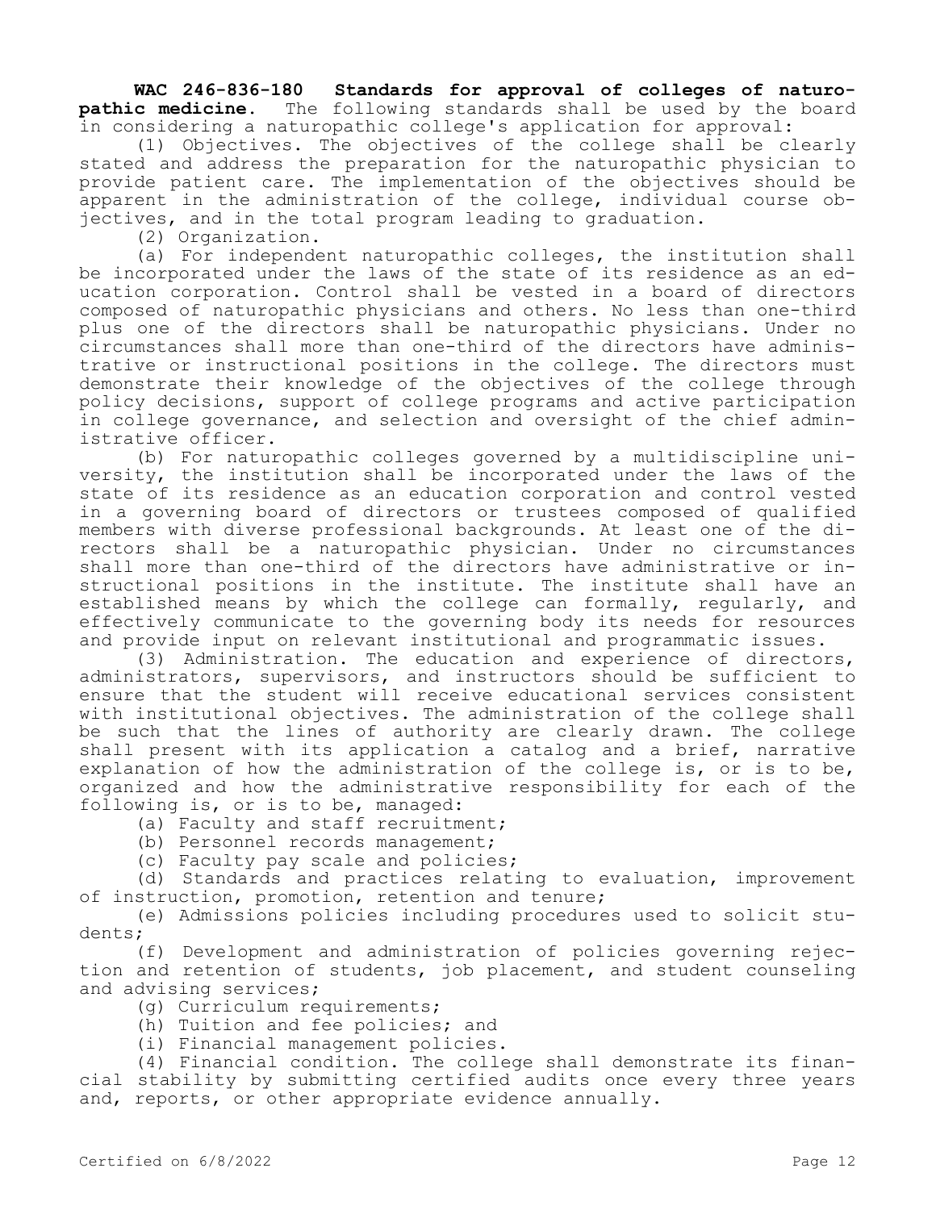**WAC 246-836-180 Standards for approval of colleges of naturopathic medicine.** The following standards shall be used by the board in considering a naturopathic college's application for approval:

(1) Objectives. The objectives of the college shall be clearly stated and address the preparation for the naturopathic physician to provide patient care. The implementation of the objectives should be apparent in the administration of the college, individual course objectives, and in the total program leading to graduation.

(2) Organization.

(a) For independent naturopathic colleges, the institution shall be incorporated under the laws of the state of its residence as an education corporation. Control shall be vested in a board of directors composed of naturopathic physicians and others. No less than one-third plus one of the directors shall be naturopathic physicians. Under no circumstances shall more than one-third of the directors have administrative or instructional positions in the college. The directors must demonstrate their knowledge of the objectives of the college through policy decisions, support of college programs and active participation in college governance, and selection and oversight of the chief administrative officer.

(b) For naturopathic colleges governed by a multidiscipline university, the institution shall be incorporated under the laws of the state of its residence as an education corporation and control vested in a governing board of directors or trustees composed of qualified members with diverse professional backgrounds. At least one of the directors shall be a naturopathic physician. Under no circumstances shall more than one-third of the directors have administrative or instructional positions in the institute. The institute shall have an established means by which the college can formally, regularly, and effectively communicate to the governing body its needs for resources and provide input on relevant institutional and programmatic issues.

(3) Administration. The education and experience of directors, administrators, supervisors, and instructors should be sufficient to ensure that the student will receive educational services consistent with institutional objectives. The administration of the college shall be such that the lines of authority are clearly drawn. The college shall present with its application a catalog and a brief, narrative explanation of how the administration of the college is, or is to be, organized and how the administrative responsibility for each of the following is, or is to be, managed:

(a) Faculty and staff recruitment;

(b) Personnel records management;

(c) Faculty pay scale and policies;

(d) Standards and practices relating to evaluation, improvement of instruction, promotion, retention and tenure;

(e) Admissions policies including procedures used to solicit students;

(f) Development and administration of policies governing rejection and retention of students, job placement, and student counseling and advising services;

(g) Curriculum requirements;

(h) Tuition and fee policies; and

(i) Financial management policies.

(4) Financial condition. The college shall demonstrate its financial stability by submitting certified audits once every three years and, reports, or other appropriate evidence annually.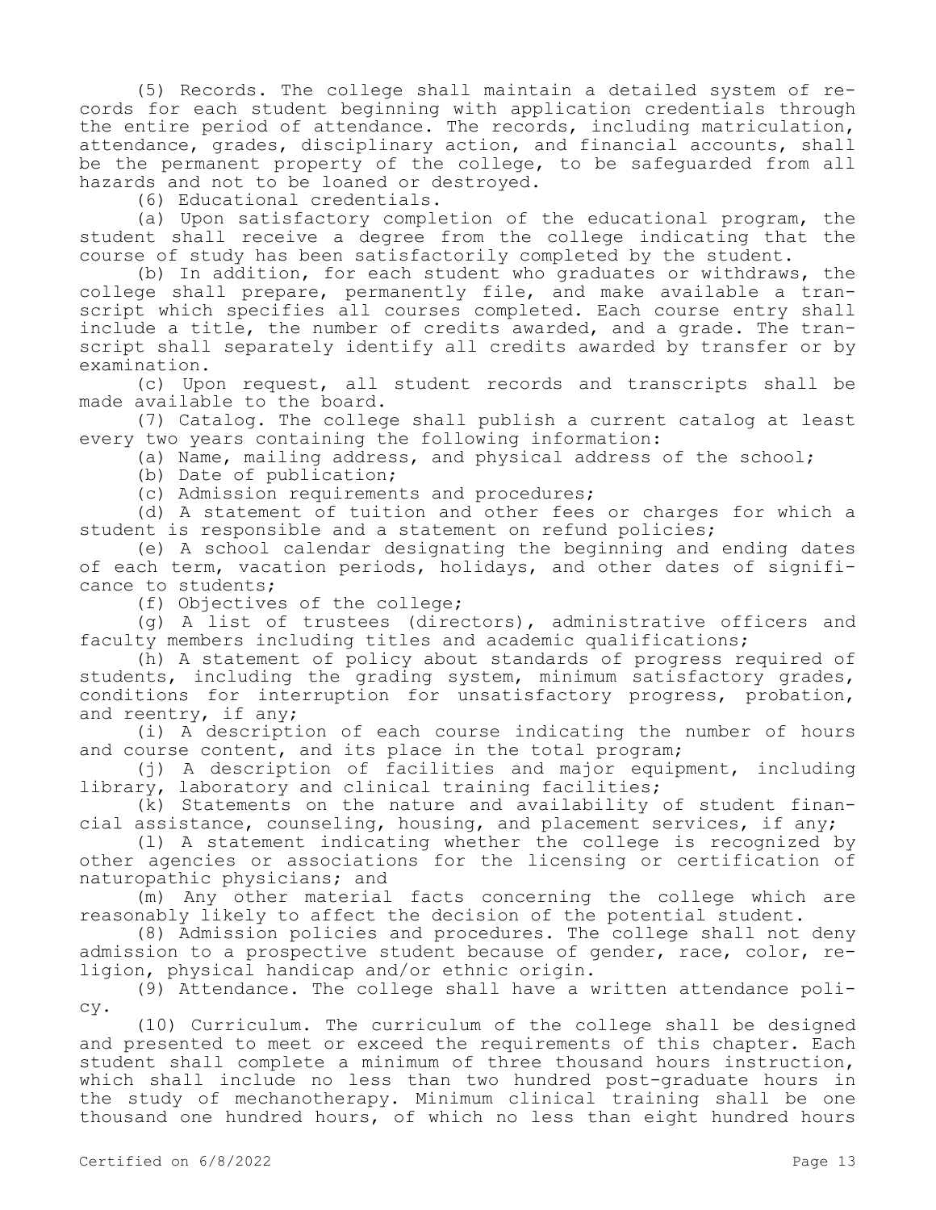(5) Records. The college shall maintain a detailed system of records for each student beginning with application credentials through the entire period of attendance. The records, including matriculation, attendance, grades, disciplinary action, and financial accounts, shall be the permanent property of the college, to be safeguarded from all hazards and not to be loaned or destroyed.

(6) Educational credentials.

(a) Upon satisfactory completion of the educational program, the student shall receive a degree from the college indicating that the course of study has been satisfactorily completed by the student.

(b) In addition, for each student who graduates or withdraws, the college shall prepare, permanently file, and make available a transcript which specifies all courses completed. Each course entry shall include a title, the number of credits awarded, and a grade. The transcript shall separately identify all credits awarded by transfer or by examination.

(c) Upon request, all student records and transcripts shall be made available to the board.

(7) Catalog. The college shall publish a current catalog at least every two years containing the following information:

(a) Name, mailing address, and physical address of the school;

(b) Date of publication;

(c) Admission requirements and procedures;

(d) A statement of tuition and other fees or charges for which a student is responsible and a statement on refund policies;

(e) A school calendar designating the beginning and ending dates of each term, vacation periods, holidays, and other dates of significance to students;

(f) Objectives of the college;

(g) A list of trustees (directors), administrative officers and faculty members including titles and academic qualifications;

(h) A statement of policy about standards of progress required of students, including the grading system, minimum satisfactory grades, conditions for interruption for unsatisfactory progress, probation, and reentry, if any;

(i) A description of each course indicating the number of hours and course content, and its place in the total program;

(j) A description of facilities and major equipment, including library, laboratory and clinical training facilities;

(k) Statements on the nature and availability of student financial assistance, counseling, housing, and placement services, if any;

(l) A statement indicating whether the college is recognized by other agencies or associations for the licensing or certification of naturopathic physicians; and

(m) Any other material facts concerning the college which are reasonably likely to affect the decision of the potential student.

(8) Admission policies and procedures. The college shall not deny admission to a prospective student because of gender, race, color, religion, physical handicap and/or ethnic origin.

(9) Attendance. The college shall have a written attendance policy.

(10) Curriculum. The curriculum of the college shall be designed and presented to meet or exceed the requirements of this chapter. Each student shall complete a minimum of three thousand hours instruction, which shall include no less than two hundred post-graduate hours in the study of mechanotherapy. Minimum clinical training shall be one thousand one hundred hours, of which no less than eight hundred hours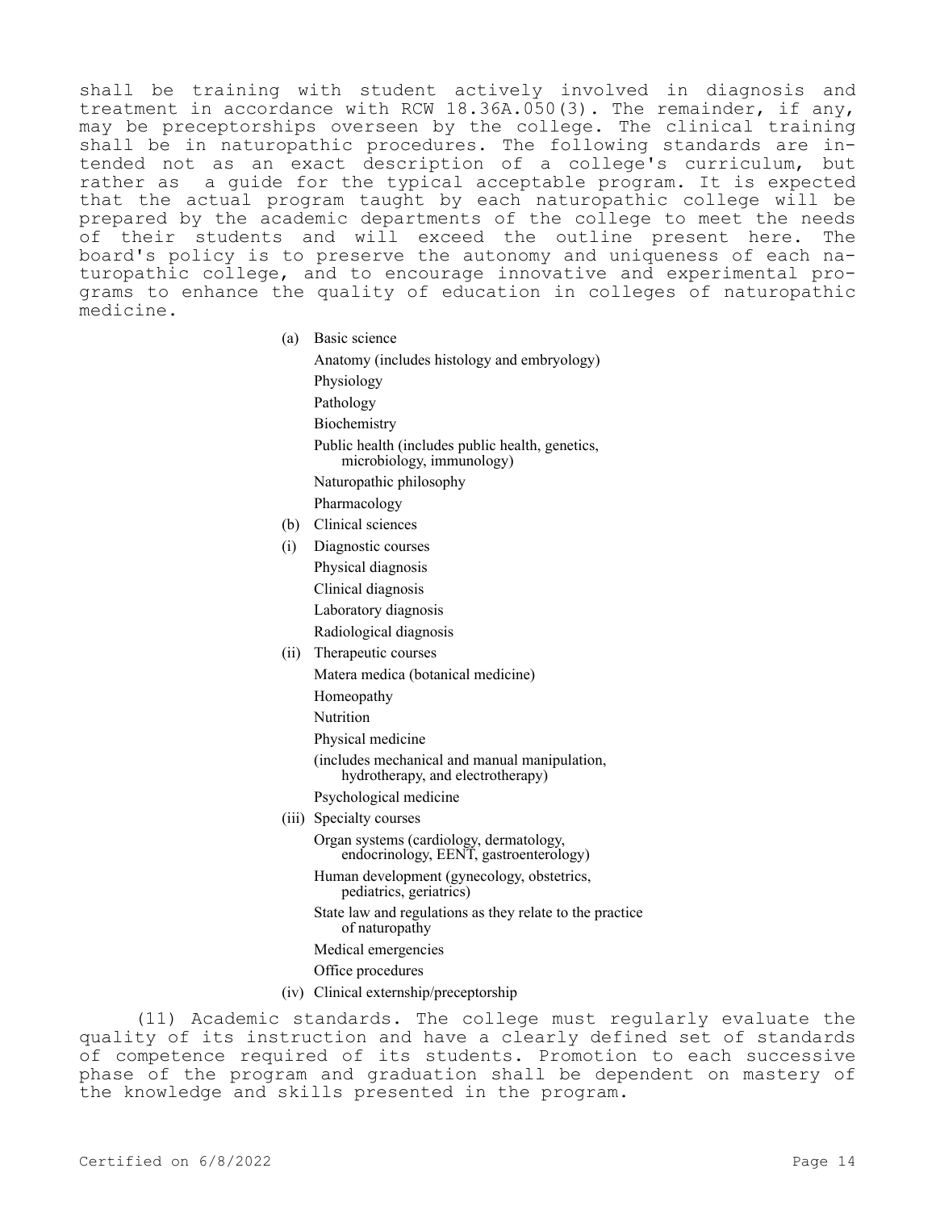shall be training with student actively involved in diagnosis and treatment in accordance with RCW 18.36A.050(3). The remainder, if any, may be preceptorships overseen by the college. The clinical training shall be in naturopathic procedures. The following standards are intended not as an exact description of a college's curriculum, but rather as a guide for the typical acceptable program. It is expected that the actual program taught by each naturopathic college will be prepared by the academic departments of the college to meet the needs of their students and will exceed the outline present here. The board's policy is to preserve the autonomy and uniqueness of each naturopathic college, and to encourage innovative and experimental programs to enhance the quality of education in colleges of naturopathic medicine.

(a) Basic science

Anatomy (includes histology and embryology) Physiology Pathology **Biochemistry** Public health (includes public health, genetics, microbiology, immunology) Naturopathic philosophy Pharmacology (b) Clinical sciences (i) Diagnostic courses

- Physical diagnosis
- Clinical diagnosis
- Laboratory diagnosis
- Radiological diagnosis
- (ii) Therapeutic courses
	- Matera medica (botanical medicine)
		- Homeopathy
		- Nutrition
		- Physical medicine
		- (includes mechanical and manual manipulation, hydrotherapy, and electrotherapy)
	- Psychological medicine
- (iii) Specialty courses

Organ systems (cardiology, dermatology, endocrinology, EENT, gastroenterology)

Human development (gynecology, obstetrics, pediatrics, geriatrics)

- State law and regulations as they relate to the practice of naturopathy
- Medical emergencies
- Office procedures
- (iv) Clinical externship/preceptorship

(11) Academic standards. The college must regularly evaluate the quality of its instruction and have a clearly defined set of standards of competence required of its students. Promotion to each successive phase of the program and graduation shall be dependent on mastery of the knowledge and skills presented in the program.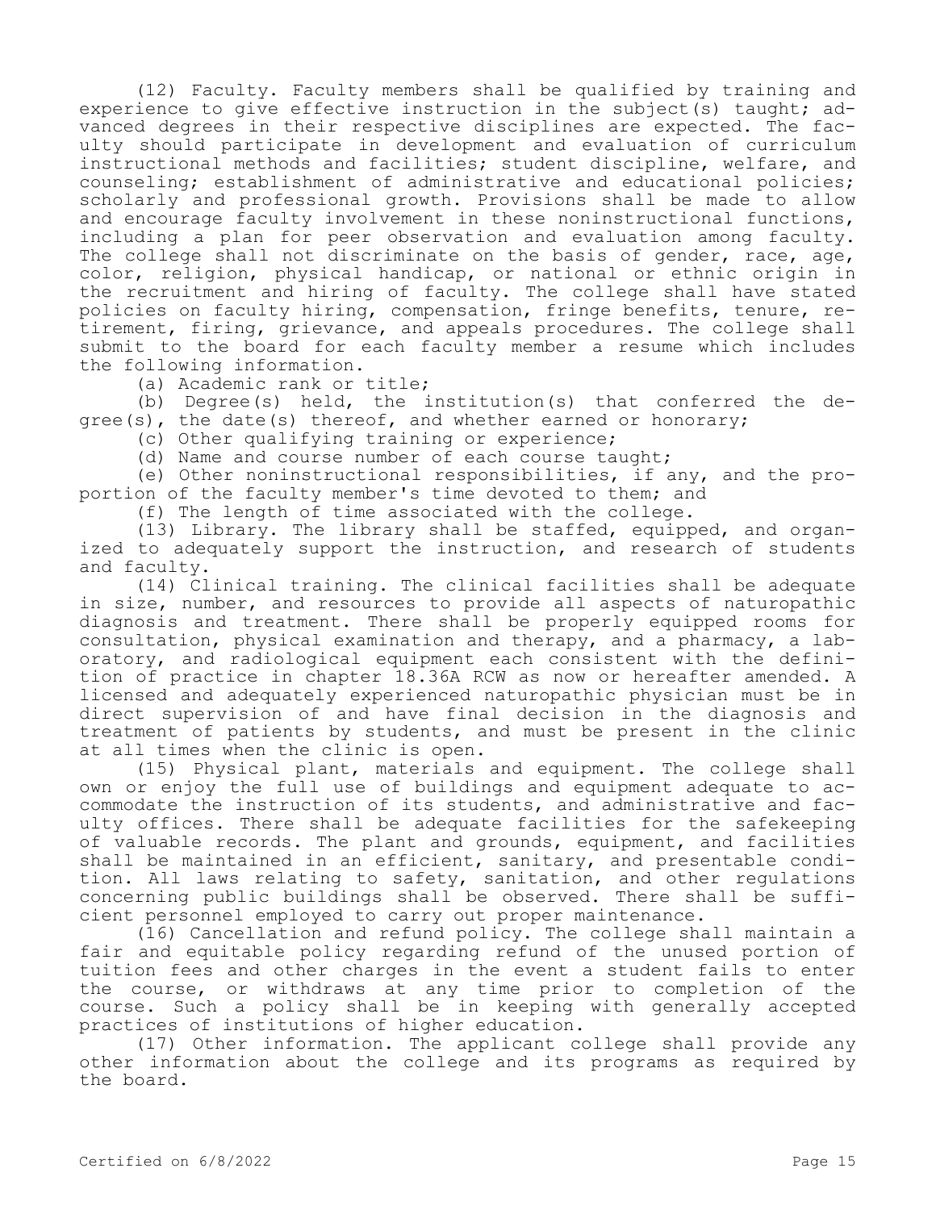(12) Faculty. Faculty members shall be qualified by training and experience to give effective instruction in the subject (s) taught; advanced degrees in their respective disciplines are expected. The faculty should participate in development and evaluation of curriculum instructional methods and facilities; student discipline, welfare, and counseling; establishment of administrative and educational policies; scholarly and professional growth. Provisions shall be made to allow and encourage faculty involvement in these noninstructional functions, including a plan for peer observation and evaluation among faculty. The college shall not discriminate on the basis of gender, race, age, color, religion, physical handicap, or national or ethnic origin in the recruitment and hiring of faculty. The college shall have stated policies on faculty hiring, compensation, fringe benefits, tenure, retirement, firing, grievance, and appeals procedures. The college shall submit to the board for each faculty member a resume which includes the following information.

(a) Academic rank or title;

(b) Degree(s) held, the institution(s) that conferred the degree(s), the date(s) thereof, and whether earned or honorary;

(c) Other qualifying training or experience;

(d) Name and course number of each course taught;

(e) Other noninstructional responsibilities, if any, and the proportion of the faculty member's time devoted to them; and

(f) The length of time associated with the college.

(13) Library. The library shall be staffed, equipped, and organized to adequately support the instruction, and research of students and faculty.

(14) Clinical training. The clinical facilities shall be adequate in size, number, and resources to provide all aspects of naturopathic diagnosis and treatment. There shall be properly equipped rooms for consultation, physical examination and therapy, and a pharmacy, a laboratory, and radiological equipment each consistent with the definition of practice in chapter 18.36A RCW as now or hereafter amended. A licensed and adequately experienced naturopathic physician must be in direct supervision of and have final decision in the diagnosis and treatment of patients by students, and must be present in the clinic at all times when the clinic is open.

(15) Physical plant, materials and equipment. The college shall own or enjoy the full use of buildings and equipment adequate to accommodate the instruction of its students, and administrative and faculty offices. There shall be adequate facilities for the safekeeping of valuable records. The plant and grounds, equipment, and facilities shall be maintained in an efficient, sanitary, and presentable condition. All laws relating to safety, sanitation, and other regulations concerning public buildings shall be observed. There shall be sufficient personnel employed to carry out proper maintenance.

(16) Cancellation and refund policy. The college shall maintain a fair and equitable policy regarding refund of the unused portion of tuition fees and other charges in the event a student fails to enter the course, or withdraws at any time prior to completion of the course. Such a policy shall be in keeping with generally accepted practices of institutions of higher education.

(17) Other information. The applicant college shall provide any other information about the college and its programs as required by the board.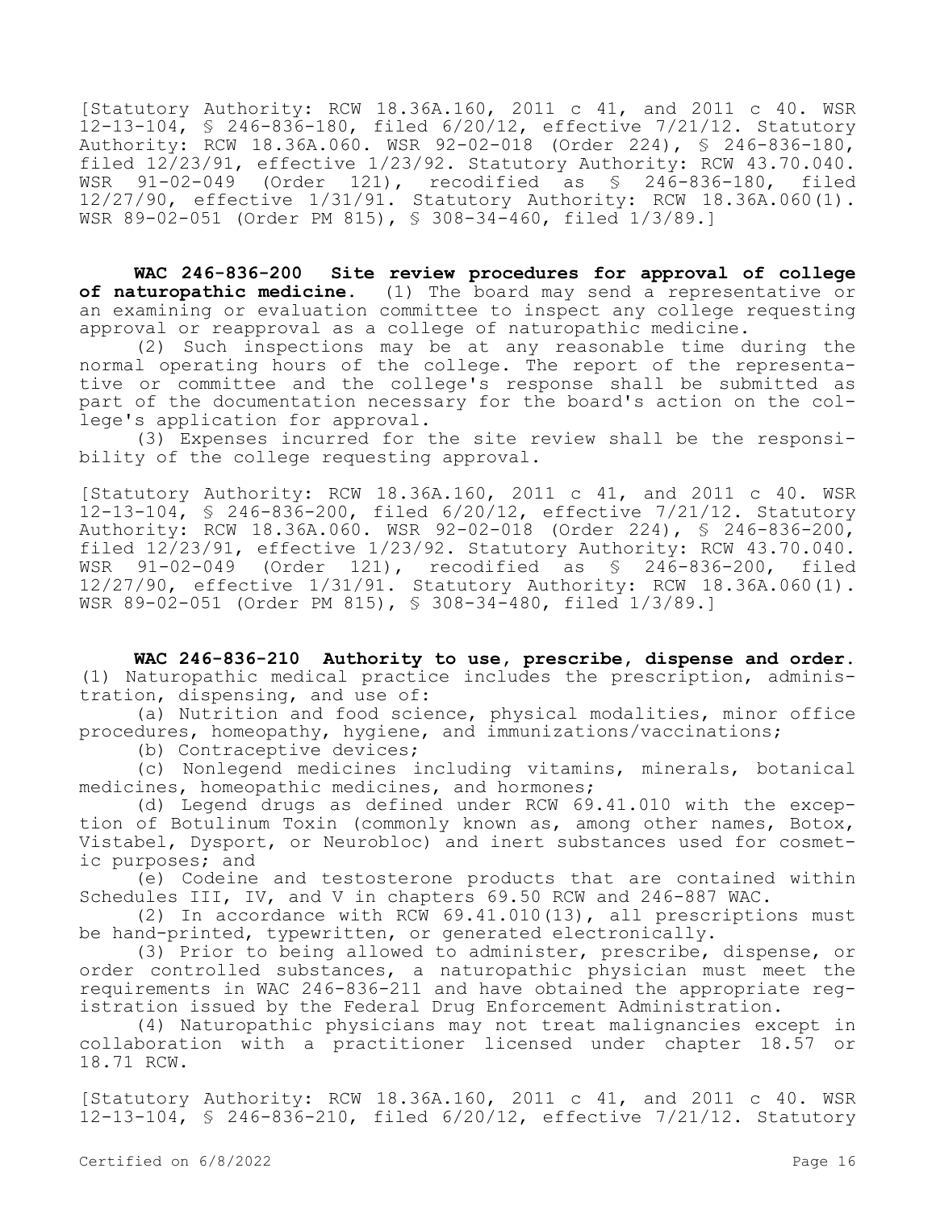[Statutory Authority: RCW 18.36A.160, 2011 c 41, and 2011 c 40. WSR 12-13-104, § 246-836-180, filed 6/20/12, effective 7/21/12. Statutory Authority: RCW 18.36A.060. WSR 92-02-018 (Order 224), § 246-836-180, filed  $12/23/91$ , effective  $1/23/92$ . Statutory Authority: RCW  $43.70.040$ . WSR 91-02-049 (Order 121), recodified as § 246-836-180, filed 12/27/90, effective 1/31/91. Statutory Authority: RCW 18.36A.060(1). WSR 89-02-051 (Order PM 815), § 308-34-460, filed 1/3/89.]

**WAC 246-836-200 Site review procedures for approval of college of naturopathic medicine.** (1) The board may send a representative or an examining or evaluation committee to inspect any college requesting approval or reapproval as a college of naturopathic medicine.

(2) Such inspections may be at any reasonable time during the normal operating hours of the college. The report of the representative or committee and the college's response shall be submitted as part of the documentation necessary for the board's action on the college's application for approval.

(3) Expenses incurred for the site review shall be the responsibility of the college requesting approval.

[Statutory Authority: RCW 18.36A.160, 2011 c 41, and 2011 c 40. WSR 12-13-104, § 246-836-200, filed 6/20/12, effective 7/21/12. Statutory Authority: RCW 18.36A.060. WSR 92-02-018 (Order 224), § 246-836-200, filed 12/23/91, effective 1/23/92. Statutory Authority: RCW 43.70.040. WSR 91-02-049 (Order 121), recodified as § 246-836-200, filed 12/27/90, effective 1/31/91. Statutory Authority: RCW 18.36A.060(1). WSR 89-02-051 (Order PM 815), § 308-34-480, filed 1/3/89.]

**WAC 246-836-210 Authority to use, prescribe, dispense and order.**  (1) Naturopathic medical practice includes the prescription, administration, dispensing, and use of:

(a) Nutrition and food science, physical modalities, minor office procedures, homeopathy, hygiene, and immunizations/vaccinations;

(b) Contraceptive devices;

(c) Nonlegend medicines including vitamins, minerals, botanical medicines, homeopathic medicines, and hormones;

(d) Legend drugs as defined under RCW 69.41.010 with the exception of Botulinum Toxin (commonly known as, among other names, Botox, Vistabel, Dysport, or Neurobloc) and inert substances used for cosmetic purposes; and

(e) Codeine and testosterone products that are contained within Schedules III, IV, and V in chapters 69.50 RCW and 246-887 WAC.

(2) In accordance with RCW 69.41.010(13), all prescriptions must be hand-printed, typewritten, or generated electronically.

(3) Prior to being allowed to administer, prescribe, dispense, or order controlled substances, a naturopathic physician must meet the requirements in WAC 246-836-211 and have obtained the appropriate registration issued by the Federal Drug Enforcement Administration.

(4) Naturopathic physicians may not treat malignancies except in collaboration with a practitioner licensed under chapter 18.57 or 18.71 RCW.

[Statutory Authority: RCW 18.36A.160, 2011 c 41, and 2011 c 40. WSR 12-13-104, § 246-836-210, filed 6/20/12, effective 7/21/12. Statutory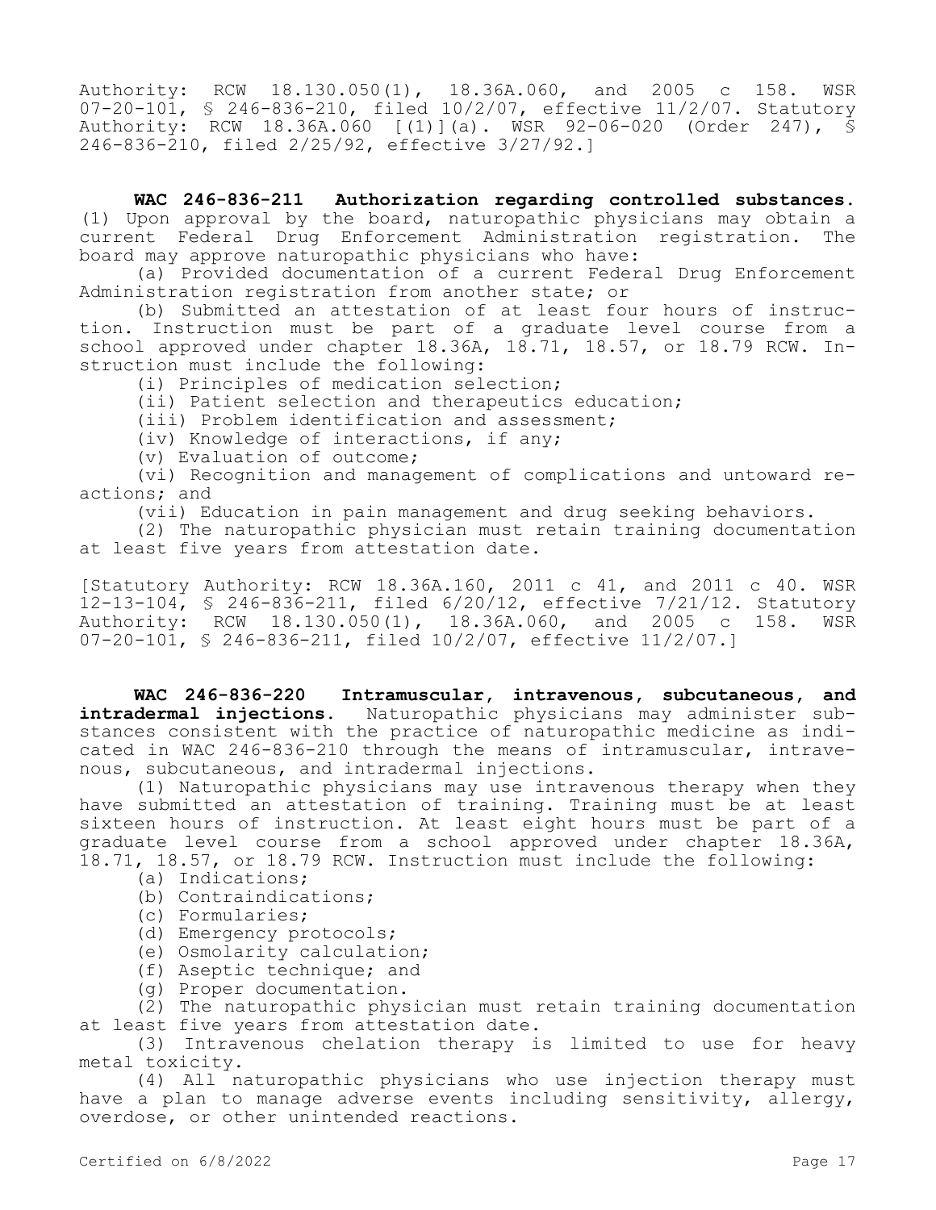Authority: RCW 18.130.050(1), 18.36A.060, and 2005 c 158. WSR 07-20-101, § 246-836-210, filed 10/2/07, effective 11/2/07. Statutory Authority: RCW 18.36A.060 [(1)](a). WSR 92-06-020 (Order 247), § 246-836-210, filed 2/25/92, effective 3/27/92.]

**WAC 246-836-211 Authorization regarding controlled substances.**  (1) Upon approval by the board, naturopathic physicians may obtain a current Federal Drug Enforcement Administration registration. The board may approve naturopathic physicians who have:

(a) Provided documentation of a current Federal Drug Enforcement Administration registration from another state; or

(b) Submitted an attestation of at least four hours of instruction. Instruction must be part of a graduate level course from a school approved under chapter 18.36A, 18.71, 18.57, or 18.79 RCW. Instruction must include the following:

(i) Principles of medication selection;

(ii) Patient selection and therapeutics education;

(iii) Problem identification and assessment;

(iv) Knowledge of interactions, if any;

(v) Evaluation of outcome;

(vi) Recognition and management of complications and untoward reactions; and

(vii) Education in pain management and drug seeking behaviors.

(2) The naturopathic physician must retain training documentation at least five years from attestation date.

[Statutory Authority: RCW 18.36A.160, 2011 c 41, and 2011 c 40. WSR  $12-13-104$ , § 246-836-211, filed 6/20/12, effective 7/21/12. Statutory<br>Authority: RCW 18.130.050(1), 18.36A.060, and 2005 c 158. WSR Authority: RCW  $18.130.050(1)$ ,  $18.36A.060$ , and  $2005$  c  $158$ . 07-20-101, § 246-836-211, filed 10/2/07, effective 11/2/07.]

**WAC 246-836-220 Intramuscular, intravenous, subcutaneous, and intradermal injections.** Naturopathic physicians may administer substances consistent with the practice of naturopathic medicine as indicated in WAC 246-836-210 through the means of intramuscular, intravenous, subcutaneous, and intradermal injections.

(1) Naturopathic physicians may use intravenous therapy when they have submitted an attestation of training. Training must be at least sixteen hours of instruction. At least eight hours must be part of a graduate level course from a school approved under chapter 18.36A, 18.71, 18.57, or 18.79 RCW. Instruction must include the following:

- (a) Indications;
- (b) Contraindications;
- (c) Formularies;
- (d) Emergency protocols;
- (e) Osmolarity calculation;
- (f) Aseptic technique; and
- (g) Proper documentation.

(2) The naturopathic physician must retain training documentation at least five years from attestation date.

(3) Intravenous chelation therapy is limited to use for heavy metal toxicity.

(4) All naturopathic physicians who use injection therapy must have a plan to manage adverse events including sensitivity, allergy, overdose, or other unintended reactions.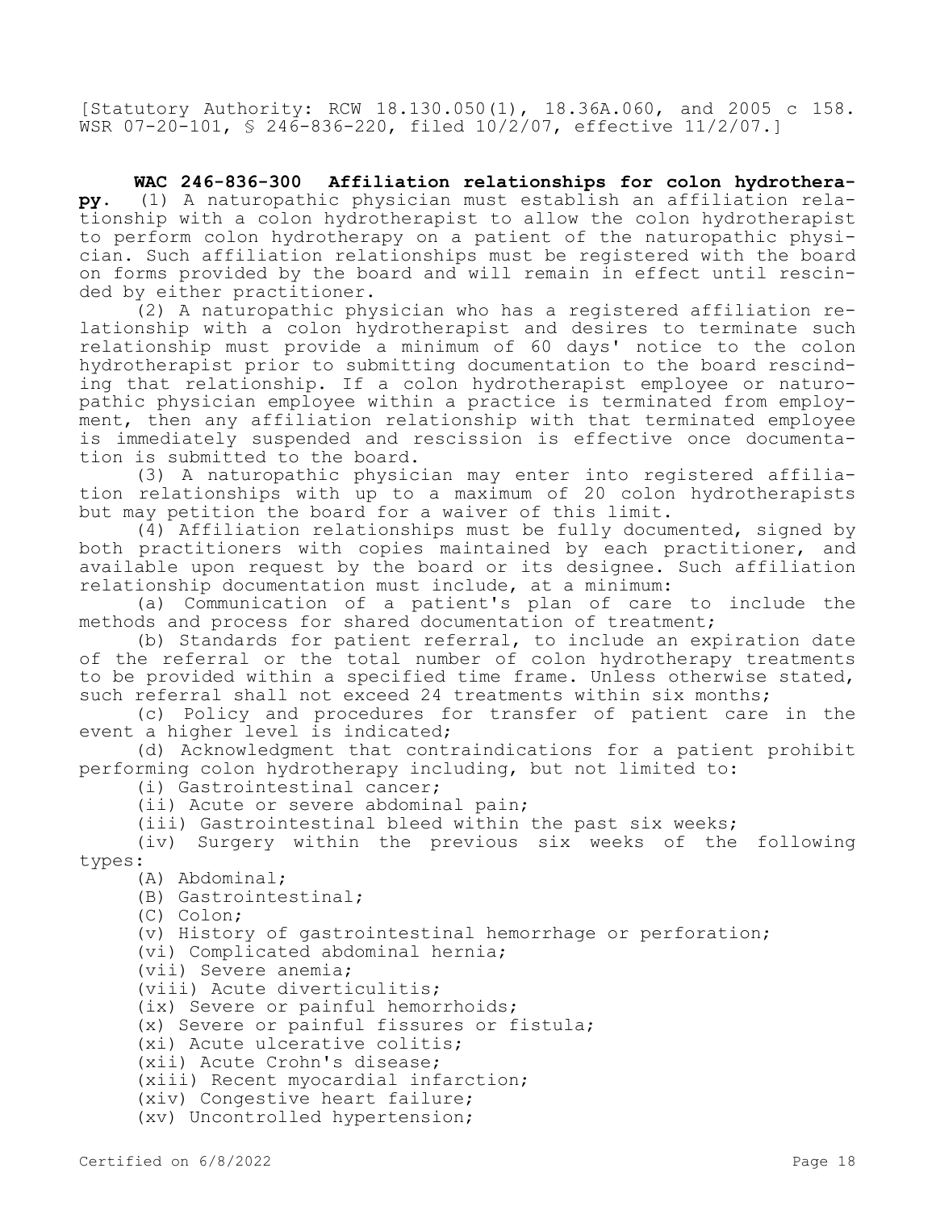[Statutory Authority: RCW 18.130.050(1), 18.36A.060, and 2005 c 158. WSR 07-20-101, § 246-836-220, filed 10/2/07, effective 11/2/07.]

**WAC 246-836-300 Affiliation relationships for colon hydrotherapy.** (1) A naturopathic physician must establish an affiliation relationship with a colon hydrotherapist to allow the colon hydrotherapist to perform colon hydrotherapy on a patient of the naturopathic physician. Such affiliation relationships must be registered with the board on forms provided by the board and will remain in effect until rescinded by either practitioner.

(2) A naturopathic physician who has a registered affiliation relationship with a colon hydrotherapist and desires to terminate such relationship must provide a minimum of 60 days' notice to the colon hydrotherapist prior to submitting documentation to the board rescinding that relationship. If a colon hydrotherapist employee or naturopathic physician employee within a practice is terminated from employment, then any affiliation relationship with that terminated employee is immediately suspended and rescission is effective once documentation is submitted to the board.

(3) A naturopathic physician may enter into registered affiliation relationships with up to a maximum of 20 colon hydrotherapists but may petition the board for a waiver of this limit.

(4) Affiliation relationships must be fully documented, signed by both practitioners with copies maintained by each practitioner, and available upon request by the board or its designee. Such affiliation relationship documentation must include, at a minimum:

(a) Communication of a patient's plan of care to include the methods and process for shared documentation of treatment;

(b) Standards for patient referral, to include an expiration date of the referral or the total number of colon hydrotherapy treatments to be provided within a specified time frame. Unless otherwise stated, such referral shall not exceed 24 treatments within six months;

(c) Policy and procedures for transfer of patient care in the event a higher level is indicated;

(d) Acknowledgment that contraindications for a patient prohibit performing colon hydrotherapy including, but not limited to:

(i) Gastrointestinal cancer;

(ii) Acute or severe abdominal pain;

(iii) Gastrointestinal bleed within the past six weeks;

(iv) Surgery within the previous six weeks of the following types:

(A) Abdominal;

(B) Gastrointestinal;

(C) Colon;

(v) History of gastrointestinal hemorrhage or perforation;

(vi) Complicated abdominal hernia;

(vii) Severe anemia;

(viii) Acute diverticulitis;

(ix) Severe or painful hemorrhoids;

(x) Severe or painful fissures or fistula;

(xi) Acute ulcerative colitis;

(xii) Acute Crohn's disease;

(xiii) Recent myocardial infarction;

(xiv) Congestive heart failure;

(xv) Uncontrolled hypertension;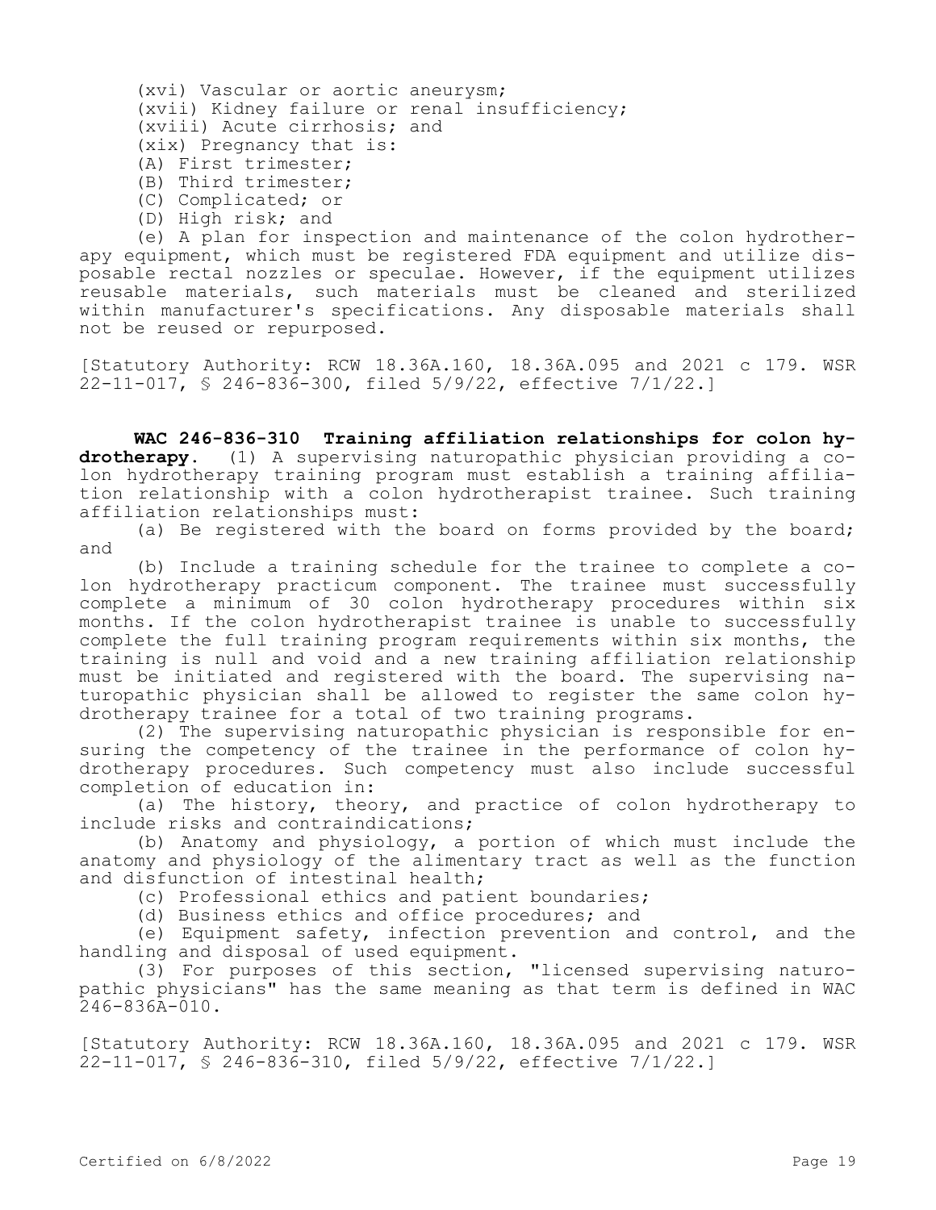| (xvi) Vascular or aortic aneurysm;            |  |
|-----------------------------------------------|--|
| (xvii) Kidney failure or renal insufficiency; |  |
| (xviii) Acute cirrhosis; and                  |  |
| (xix) Pregnancy that is:                      |  |
| (A) First trimester;                          |  |

- (B) Third trimester;
- (C) Complicated; or
- 
- (D) High risk; and

(e) A plan for inspection and maintenance of the colon hydrotherapy equipment, which must be registered FDA equipment and utilize disposable rectal nozzles or speculae. However, if the equipment utilizes reusable materials, such materials must be cleaned and sterilized within manufacturer's specifications. Any disposable materials shall not be reused or repurposed.

[Statutory Authority: RCW 18.36A.160, 18.36A.095 and 2021 c 179. WSR 22-11-017, § 246-836-300, filed 5/9/22, effective 7/1/22.]

**WAC 246-836-310 Training affiliation relationships for colon hydrotherapy.** (1) A supervising naturopathic physician providing a colon hydrotherapy training program must establish a training affiliation relationship with a colon hydrotherapist trainee. Such training affiliation relationships must:

(a) Be registered with the board on forms provided by the board; and

(b) Include a training schedule for the trainee to complete a colon hydrotherapy practicum component. The trainee must successfully complete a minimum of 30 colon hydrotherapy procedures within six months. If the colon hydrotherapist trainee is unable to successfully complete the full training program requirements within six months, the training is null and void and a new training affiliation relationship must be initiated and registered with the board. The supervising naturopathic physician shall be allowed to register the same colon hydrotherapy trainee for a total of two training programs.

(2) The supervising naturopathic physician is responsible for ensuring the competency of the trainee in the performance of colon hydrotherapy procedures. Such competency must also include successful completion of education in:

(a) The history, theory, and practice of colon hydrotherapy to include risks and contraindications;

(b) Anatomy and physiology, a portion of which must include the anatomy and physiology of the alimentary tract as well as the function and disfunction of intestinal health;

(c) Professional ethics and patient boundaries;

(d) Business ethics and office procedures; and

(e) Equipment safety, infection prevention and control, and the handling and disposal of used equipment.

(3) For purposes of this section, "licensed supervising naturopathic physicians" has the same meaning as that term is defined in WAC  $246 - 836A - 010$ .

[Statutory Authority: RCW 18.36A.160, 18.36A.095 and 2021 c 179. WSR 22-11-017, § 246-836-310, filed 5/9/22, effective 7/1/22.]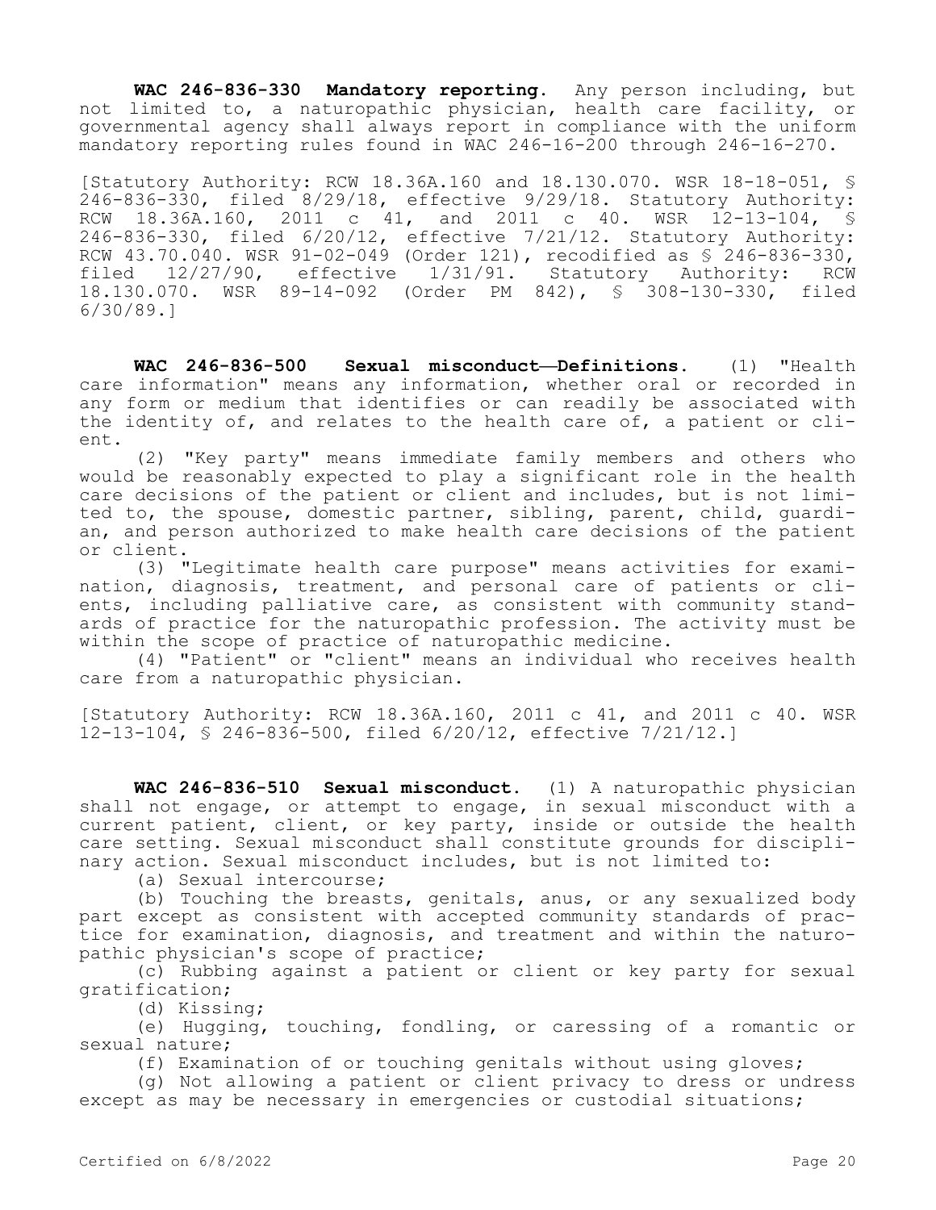**WAC 246-836-330 Mandatory reporting.** Any person including, but not limited to, a naturopathic physician, health care facility, or governmental agency shall always report in compliance with the uniform mandatory reporting rules found in WAC 246-16-200 through 246-16-270.

[Statutory Authority: RCW 18.36A.160 and 18.130.070. WSR 18-18-051, § 246-836-330, filed 8/29/18, effective 9/29/18. Statutory Authority: RCW 18.36A.160, 2011 c 41, and 2011 c 40. WSR 12-13-104, § 246-836-330, filed 6/20/12, effective 7/21/12. Statutory Authority: RCW 43.70.040. WSR 91-02-049 (Order 121), recodified as § 246-836-330, filed 12/27/90, effective 1/31/91. Statutory Authority: RCW 18.130.070. WSR 89-14-092 (Order PM 842), § 308-130-330, filed 6/30/89.]

**WAC 246-836-500 Sexual misconduct—Definitions.** (1) "Health care information" means any information, whether oral or recorded in any form or medium that identifies or can readily be associated with the identity of, and relates to the health care of, a patient or client.

(2) "Key party" means immediate family members and others who would be reasonably expected to play a significant role in the health care decisions of the patient or client and includes, but is not limited to, the spouse, domestic partner, sibling, parent, child, guardian, and person authorized to make health care decisions of the patient or client.

(3) "Legitimate health care purpose" means activities for examination, diagnosis, treatment, and personal care of patients or clients, including palliative care, as consistent with community standards of practice for the naturopathic profession. The activity must be within the scope of practice of naturopathic medicine.

(4) "Patient" or "client" means an individual who receives health care from a naturopathic physician.

[Statutory Authority: RCW 18.36A.160, 2011 c 41, and 2011 c 40. WSR 12-13-104, § 246-836-500, filed 6/20/12, effective 7/21/12.]

**WAC 246-836-510 Sexual misconduct.** (1) A naturopathic physician shall not engage, or attempt to engage, in sexual misconduct with a current patient, client, or key party, inside or outside the health care setting. Sexual misconduct shall constitute grounds for disciplinary action. Sexual misconduct includes, but is not limited to:

(a) Sexual intercourse;

(b) Touching the breasts, genitals, anus, or any sexualized body part except as consistent with accepted community standards of practice for examination, diagnosis, and treatment and within the naturopathic physician's scope of practice;

(c) Rubbing against a patient or client or key party for sexual gratification;

(d) Kissing;

(e) Hugging, touching, fondling, or caressing of a romantic or sexual nature;

(f) Examination of or touching genitals without using gloves;

(g) Not allowing a patient or client privacy to dress or undress except as may be necessary in emergencies or custodial situations;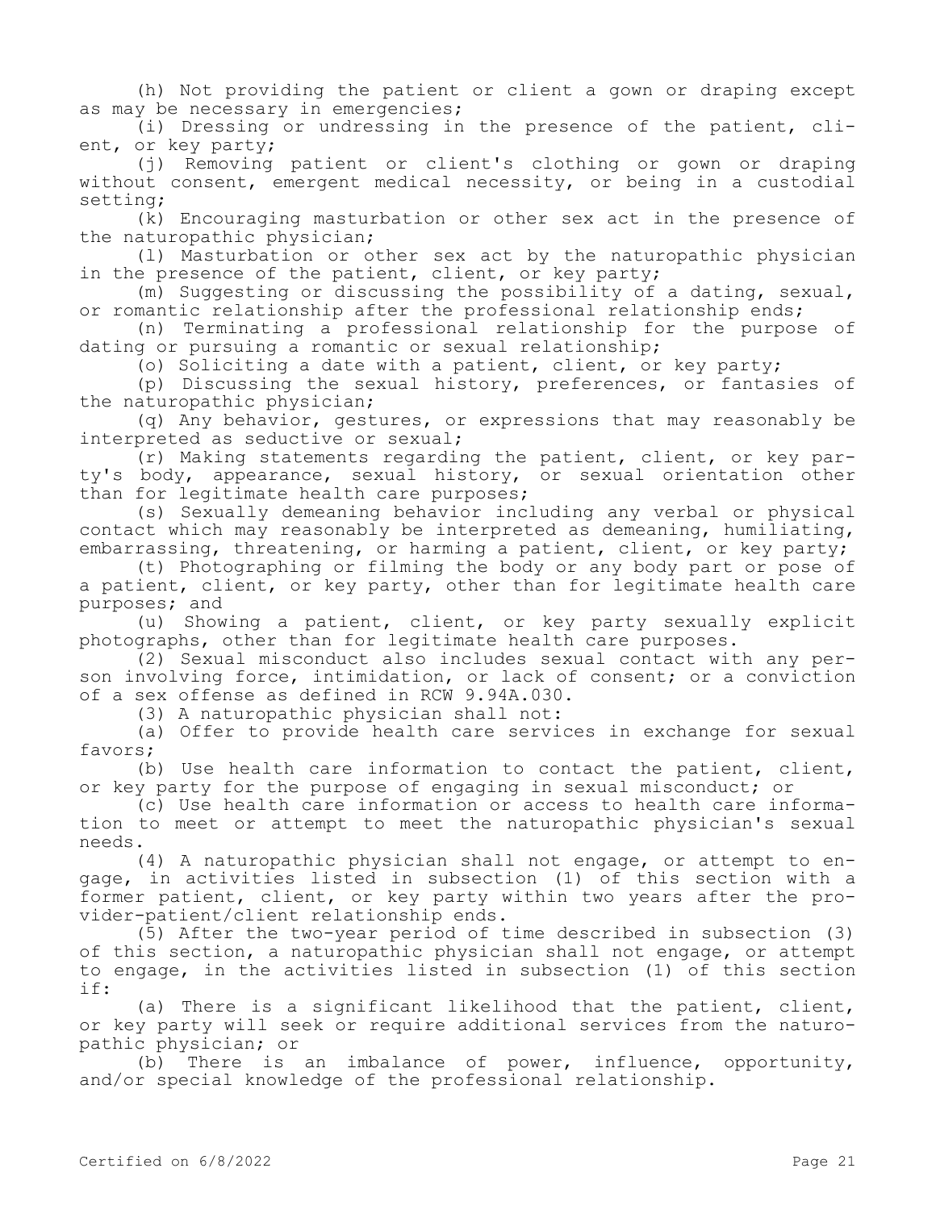(h) Not providing the patient or client a gown or draping except as may be necessary in emergencies;

(i) Dressing or undressing in the presence of the patient, client, or key party;

(j) Removing patient or client's clothing or gown or draping without consent, emergent medical necessity, or being in a custodial setting;

(k) Encouraging masturbation or other sex act in the presence of the naturopathic physician;

(l) Masturbation or other sex act by the naturopathic physician in the presence of the patient, client, or key party;

(m) Suggesting or discussing the possibility of a dating, sexual, or romantic relationship after the professional relationship ends;

(n) Terminating a professional relationship for the purpose of dating or pursuing a romantic or sexual relationship;

(o) Soliciting a date with a patient, client, or key party;

(p) Discussing the sexual history, preferences, or fantasies of the naturopathic physician;

(q) Any behavior, gestures, or expressions that may reasonably be interpreted as seductive or sexual;

(r) Making statements regarding the patient, client, or key party's body, appearance, sexual history, or sexual orientation other than for legitimate health care purposes;

(s) Sexually demeaning behavior including any verbal or physical contact which may reasonably be interpreted as demeaning, humiliating, embarrassing, threatening, or harming a patient, client, or key party;

(t) Photographing or filming the body or any body part or pose of a patient, client, or key party, other than for legitimate health care purposes; and

(u) Showing a patient, client, or key party sexually explicit photographs, other than for legitimate health care purposes.

(2) Sexual misconduct also includes sexual contact with any person involving force, intimidation, or lack of consent; or a conviction of a sex offense as defined in RCW 9.94A.030.

(3) A naturopathic physician shall not:

(a) Offer to provide health care services in exchange for sexual favors;

(b) Use health care information to contact the patient, client, or key party for the purpose of engaging in sexual misconduct; or

(c) Use health care information or access to health care information to meet or attempt to meet the naturopathic physician's sexual needs.

(4) A naturopathic physician shall not engage, or attempt to engage, in activities listed in subsection (1) of this section with a former patient, client, or key party within two years after the provider-patient/client relationship ends.

(5) After the two-year period of time described in subsection (3) of this section, a naturopathic physician shall not engage, or attempt to engage, in the activities listed in subsection (1) of this section if:

(a) There is a significant likelihood that the patient, client, or key party will seek or require additional services from the naturopathic physician; or

(b) There is an imbalance of power, influence, opportunity, and/or special knowledge of the professional relationship.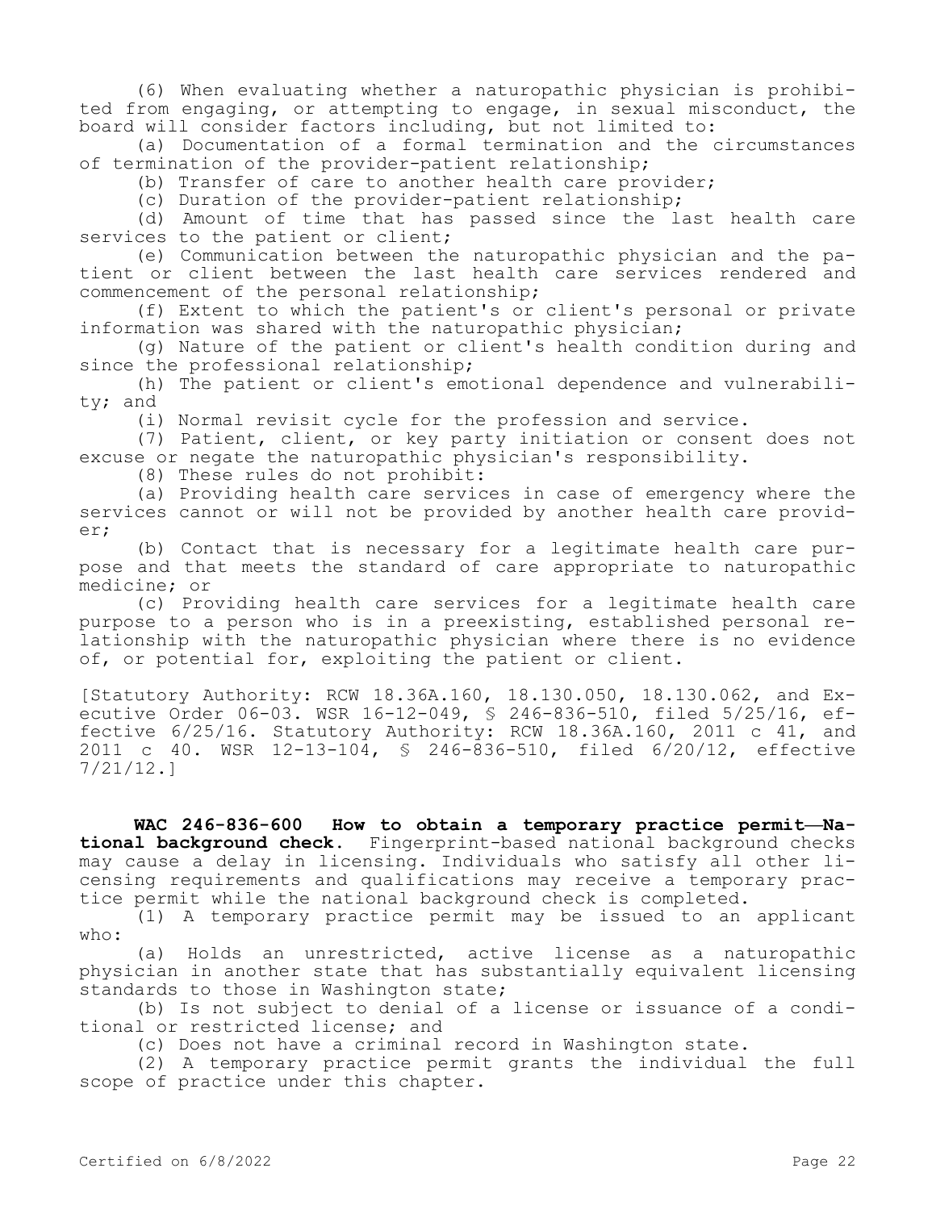(6) When evaluating whether a naturopathic physician is prohibited from engaging, or attempting to engage, in sexual misconduct, the board will consider factors including, but not limited to:

(a) Documentation of a formal termination and the circumstances of termination of the provider-patient relationship;

(b) Transfer of care to another health care provider;

(c) Duration of the provider-patient relationship;

(d) Amount of time that has passed since the last health care services to the patient or client;

(e) Communication between the naturopathic physician and the patient or client between the last health care services rendered and commencement of the personal relationship;

(f) Extent to which the patient's or client's personal or private information was shared with the naturopathic physician;

(g) Nature of the patient or client's health condition during and since the professional relationship;

(h) The patient or client's emotional dependence and vulnerability; and

(i) Normal revisit cycle for the profession and service.

(7) Patient, client, or key party initiation or consent does not excuse or negate the naturopathic physician's responsibility.

(8) These rules do not prohibit:

(a) Providing health care services in case of emergency where the services cannot or will not be provided by another health care provider;

(b) Contact that is necessary for a legitimate health care purpose and that meets the standard of care appropriate to naturopathic medicine; or

(c) Providing health care services for a legitimate health care purpose to a person who is in a preexisting, established personal relationship with the naturopathic physician where there is no evidence of, or potential for, exploiting the patient or client.

[Statutory Authority: RCW 18.36A.160, 18.130.050, 18.130.062, and Executive Order 06-03. WSR 16-12-049, § 246-836-510, filed 5/25/16, effective 6/25/16. Statutory Authority: RCW 18.36A.160, 2011 c 41, and 2011 c 40. WSR 12-13-104, § 246-836-510, filed 6/20/12, effective 7/21/12.]

**WAC 246-836-600 How to obtain a temporary practice permit—National background check.** Fingerprint-based national background checks may cause a delay in licensing. Individuals who satisfy all other licensing requirements and qualifications may receive a temporary practice permit while the national background check is completed.

(1) A temporary practice permit may be issued to an applicant who:

(a) Holds an unrestricted, active license as a naturopathic physician in another state that has substantially equivalent licensing standards to those in Washington state;

(b) Is not subject to denial of a license or issuance of a conditional or restricted license; and

(c) Does not have a criminal record in Washington state.

(2) A temporary practice permit grants the individual the full scope of practice under this chapter.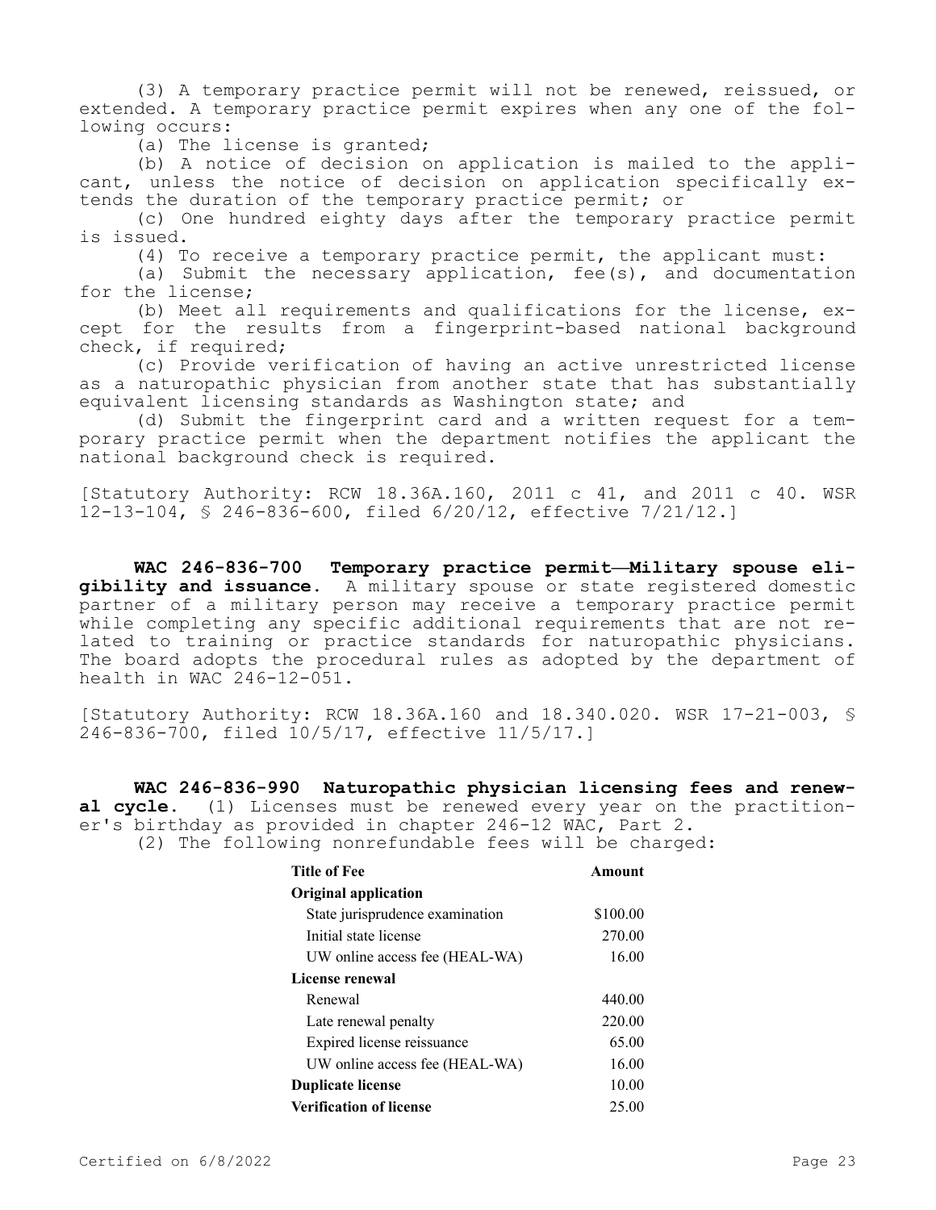(3) A temporary practice permit will not be renewed, reissued, or extended. A temporary practice permit expires when any one of the following occurs:

(a) The license is granted;

(b) A notice of decision on application is mailed to the applicant, unless the notice of decision on application specifically extends the duration of the temporary practice permit; or

(c) One hundred eighty days after the temporary practice permit is issued.

(4) To receive a temporary practice permit, the applicant must:

(a) Submit the necessary application, fee(s), and documentation for the license;

(b) Meet all requirements and qualifications for the license, except for the results from a fingerprint-based national background check, if required;

(c) Provide verification of having an active unrestricted license as a naturopathic physician from another state that has substantially equivalent licensing standards as Washington state; and

(d) Submit the fingerprint card and a written request for a temporary practice permit when the department notifies the applicant the national background check is required.

[Statutory Authority: RCW 18.36A.160, 2011 c 41, and 2011 c 40. WSR 12-13-104, § 246-836-600, filed 6/20/12, effective 7/21/12.]

**WAC 246-836-700 Temporary practice permit—Military spouse eligibility and issuance.** A military spouse or state registered domestic partner of a military person may receive a temporary practice permit while completing any specific additional requirements that are not related to training or practice standards for naturopathic physicians. The board adopts the procedural rules as adopted by the department of health in WAC 246-12-051.

[Statutory Authority: RCW 18.36A.160 and 18.340.020. WSR 17-21-003, § 246-836-700, filed 10/5/17, effective 11/5/17.]

**WAC 246-836-990 Naturopathic physician licensing fees and renewal cycle.** (1) Licenses must be renewed every year on the practitioner's birthday as provided in chapter 246-12 WAC, Part 2. (2) The following nonrefundable fees will be charged:

| <b>Title of Fee</b>             | Amount   |
|---------------------------------|----------|
| <b>Original application</b>     |          |
| State jurisprudence examination | \$100.00 |
| Initial state license           | 270.00   |
| UW online access fee (HEAL-WA)  | 16.00    |
| License renewal                 |          |
| Renewal                         | 440.00   |
| Late renewal penalty            | 220.00   |
| Expired license reissuance      | 65.00    |
| UW online access fee (HEAL-WA)  | 16.00    |
| <b>Duplicate license</b>        | 10.00    |
| <b>Verification of license</b>  | 25.00    |